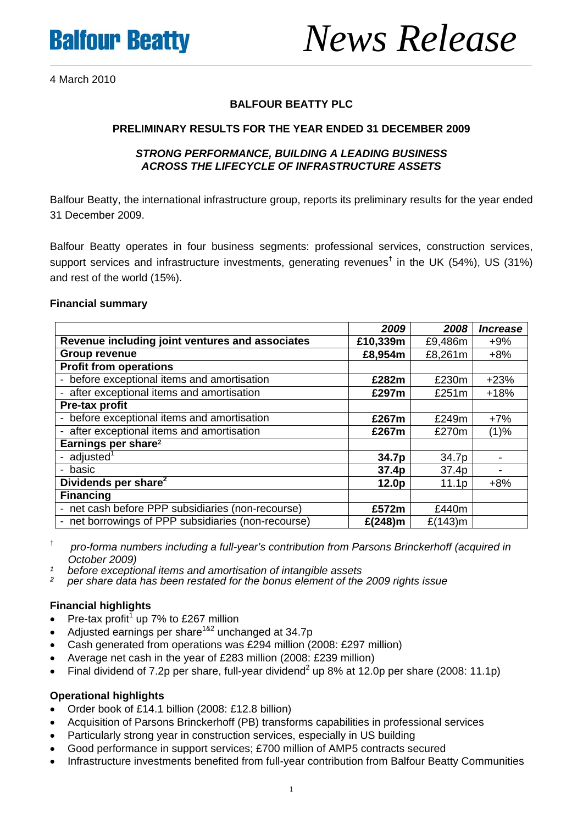

# **Balfour Beatty** *News Release*

4 March 2010

# **BALFOUR BEATTY PLC**

# **PRELIMINARY RESULTS FOR THE YEAR ENDED 31 DECEMBER 2009**

# *STRONG PERFORMANCE, BUILDING A LEADING BUSINESS ACROSS THE LIFECYCLE OF INFRASTRUCTURE ASSETS*

Balfour Beatty, the international infrastructure group, reports its preliminary results for the year ended 31 December 2009.

Balfour Beatty operates in four business segments: professional services, construction services, support services and infrastructure investments, generating revenues<sup>†</sup> in the UK (54%), US (31%) and rest of the world (15%).

# **Financial summary**

|                                                                               | 2009              | 2008    | <b>Increase</b> |
|-------------------------------------------------------------------------------|-------------------|---------|-----------------|
| Revenue including joint ventures and associates                               | £10,339m          | £9,486m | $+9%$           |
| <b>Group revenue</b>                                                          | £8,954m           | £8,261m | $+8%$           |
| <b>Profit from operations</b>                                                 |                   |         |                 |
| before exceptional items and amortisation<br>$\blacksquare$                   | £282m             | £230m   | $+23%$          |
| after exceptional items and amortisation<br>-                                 | £297m             | £251m   | $+18%$          |
| Pre-tax profit                                                                |                   |         |                 |
| before exceptional items and amortisation<br>$\overline{\phantom{a}}$         | £267m             | £249m   | $+7%$           |
| after exceptional items and amortisation<br>$\overline{\phantom{0}}$          | £267m             | £270m   | (1)%            |
| Earnings per share <sup>2</sup>                                               |                   |         |                 |
| - adjusted <sup>1</sup>                                                       | 34.7p             | 34.7p   |                 |
| basic<br>$\overline{\phantom{a}}$                                             | 37.4p             | 37.4p   |                 |
| Dividends per share <sup>2</sup>                                              | 12.0 <sub>p</sub> | 11.1p   | $+8%$           |
| <b>Financing</b>                                                              |                   |         |                 |
| net cash before PPP subsidiaries (non-recourse)<br>$\overline{\phantom{a}}$   | £572m             | £440m   |                 |
| net borrowings of PPP subsidiaries (non-recourse)<br>$\overline{\phantom{a}}$ | $£(248)$ m        | £(143)m |                 |

† *pro-forma numbers including a full-year's contribution from Parsons Brinckerhoff (acquired in October 2009)*

- *¹ before exceptional items and amortisation of intangible assets*
- *² per share data has been restated for the bonus element of the 2009 rights issue*

# **Financial highlights**

- Pre-tax profit<sup>1</sup> up 7% to £267 million
- Adjusted earnings per share  $182$  unchanged at 34.7p
- Cash generated from operations was £294 million (2008: £297 million)
- Average net cash in the year of £283 million (2008: £239 million)
- Final dividend of 7.2p per share, full-year dividend<sup>2</sup> up 8% at 12.0p per share (2008: 11.1p)

# **Operational highlights**

- Order book of £14.1 billion (2008: £12.8 billion)
- Acquisition of Parsons Brinckerhoff (PB) transforms capabilities in professional services
- Particularly strong year in construction services, especially in US building
- Good performance in support services; £700 million of AMP5 contracts secured
- Infrastructure investments benefited from full-year contribution from Balfour Beatty Communities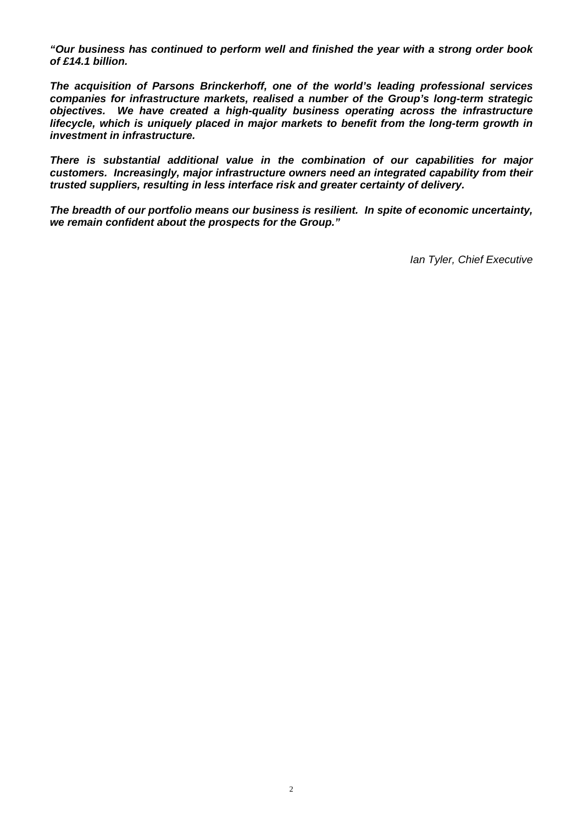*"Our business has continued to perform well and finished the year with a strong order book of £14.1 billion.* 

*The acquisition of Parsons Brinckerhoff, one of the world's leading professional services companies for infrastructure markets, realised a number of the Group's long-term strategic objectives. We have created a high-quality business operating across the infrastructure lifecycle, which is uniquely placed in major markets to benefit from the long-term growth in investment in infrastructure.* 

*There is substantial additional value in the combination of our capabilities for major customers. Increasingly, major infrastructure owners need an integrated capability from their trusted suppliers, resulting in less interface risk and greater certainty of delivery.* 

*The breadth of our portfolio means our business is resilient. In spite of economic uncertainty, we remain confident about the prospects for the Group."* 

*Ian Tyler, Chief Executive*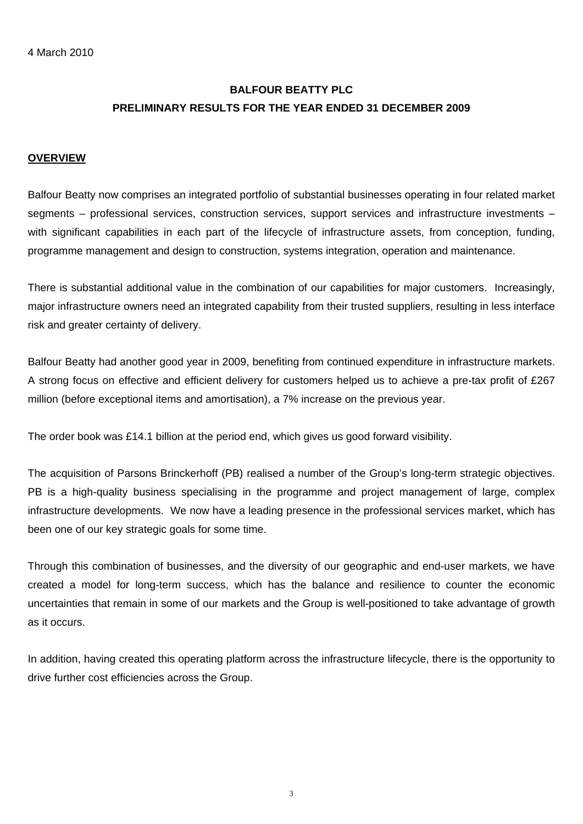# **BALFOUR BEATTY PLC PRELIMINARY RESULTS FOR THE YEAR ENDED 31 DECEMBER 2009**

# **OVERVIEW**

Balfour Beatty now comprises an integrated portfolio of substantial businesses operating in four related market segments – professional services, construction services, support services and infrastructure investments – with significant capabilities in each part of the lifecycle of infrastructure assets, from conception, funding, programme management and design to construction, systems integration, operation and maintenance.

There is substantial additional value in the combination of our capabilities for major customers. Increasingly, major infrastructure owners need an integrated capability from their trusted suppliers, resulting in less interface risk and greater certainty of delivery.

Balfour Beatty had another good year in 2009, benefiting from continued expenditure in infrastructure markets. A strong focus on effective and efficient delivery for customers helped us to achieve a pre-tax profit of £267 million (before exceptional items and amortisation), a 7% increase on the previous year.

The order book was £14.1 billion at the period end, which gives us good forward visibility.

The acquisition of Parsons Brinckerhoff (PB) realised a number of the Group's long-term strategic objectives. PB is a high-quality business specialising in the programme and project management of large, complex infrastructure developments. We now have a leading presence in the professional services market, which has been one of our key strategic goals for some time.

Through this combination of businesses, and the diversity of our geographic and end-user markets, we have created a model for long-term success, which has the balance and resilience to counter the economic uncertainties that remain in some of our markets and the Group is well-positioned to take advantage of growth as it occurs.

In addition, having created this operating platform across the infrastructure lifecycle, there is the opportunity to drive further cost efficiencies across the Group.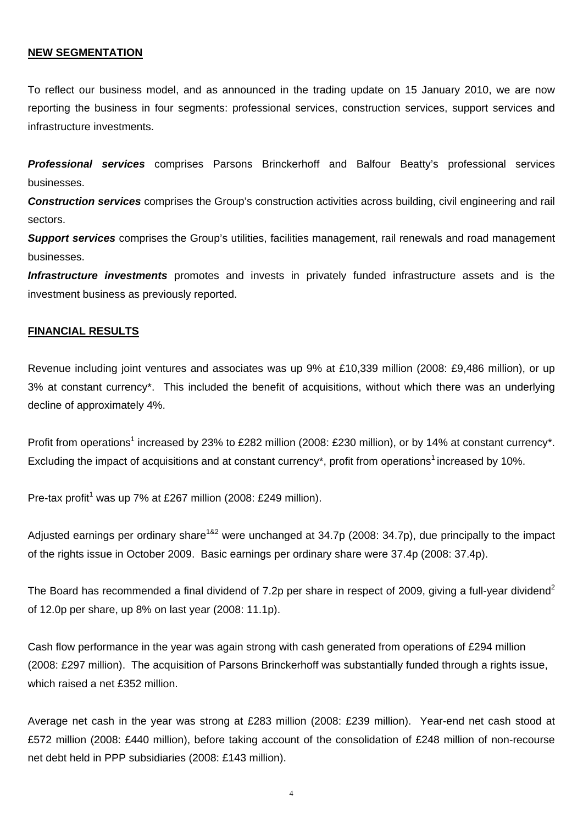# **NEW SEGMENTATION**

To reflect our business model, and as announced in the trading update on 15 January 2010, we are now reporting the business in four segments: professional services, construction services, support services and infrastructure investments.

*Professional services* comprises Parsons Brinckerhoff and Balfour Beatty's professional services businesses.

*Construction services* comprises the Group's construction activities across building, civil engineering and rail sectors.

*Support services* comprises the Group's utilities, facilities management, rail renewals and road management businesses.

**Infrastructure investments** promotes and invests in privately funded infrastructure assets and is the investment business as previously reported.

# **FINANCIAL RESULTS**

Revenue including joint ventures and associates was up 9% at £10,339 million (2008: £9,486 million), or up 3% at constant currency\*. This included the benefit of acquisitions, without which there was an underlying decline of approximately 4%.

Profit from operations<sup>1</sup> increased by 23% to £282 million (2008: £230 million), or by 14% at constant currency\*. Excluding the impact of acquisitions and at constant currency\*, profit from operations<sup>1</sup> increased by 10%.

Pre-tax profit<sup>1</sup> was up 7% at £267 million (2008: £249 million).

Adjusted earnings per ordinary share<sup>1&2</sup> were unchanged at 34.7p (2008: 34.7p), due principally to the impact of the rights issue in October 2009. Basic earnings per ordinary share were 37.4p (2008: 37.4p).

The Board has recommended a final dividend of 7.2p per share in respect of 2009, giving a full-year dividend<sup>2</sup> of 12.0p per share, up 8% on last year (2008: 11.1p).

Cash flow performance in the year was again strong with cash generated from operations of £294 million (2008: £297 million). The acquisition of Parsons Brinckerhoff was substantially funded through a rights issue, which raised a net £352 million.

Average net cash in the year was strong at £283 million (2008: £239 million). Year-end net cash stood at £572 million (2008: £440 million), before taking account of the consolidation of £248 million of non-recourse net debt held in PPP subsidiaries (2008: £143 million).

4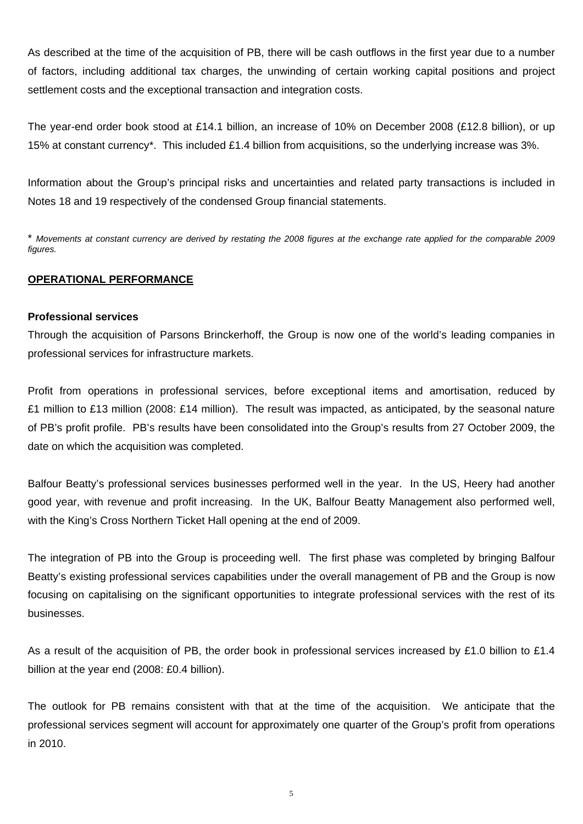As described at the time of the acquisition of PB, there will be cash outflows in the first year due to a number of factors, including additional tax charges, the unwinding of certain working capital positions and project settlement costs and the exceptional transaction and integration costs.

The year-end order book stood at £14.1 billion, an increase of 10% on December 2008 (£12.8 billion), or up 15% at constant currency\*. This included £1.4 billion from acquisitions, so the underlying increase was 3%.

Information about the Group's principal risks and uncertainties and related party transactions is included in Notes 18 and 19 respectively of the condensed Group financial statements.

\* *Movements at constant currency are derived by restating the 2008 figures at the exchange rate applied for the comparable 2009 figures.*

# **OPERATIONAL PERFORMANCE**

# **Professional services**

Through the acquisition of Parsons Brinckerhoff, the Group is now one of the world's leading companies in professional services for infrastructure markets.

Profit from operations in professional services, before exceptional items and amortisation, reduced by £1 million to £13 million (2008: £14 million). The result was impacted, as anticipated, by the seasonal nature of PB's profit profile. PB's results have been consolidated into the Group's results from 27 October 2009, the date on which the acquisition was completed.

Balfour Beatty's professional services businesses performed well in the year. In the US, Heery had another good year, with revenue and profit increasing. In the UK, Balfour Beatty Management also performed well, with the King's Cross Northern Ticket Hall opening at the end of 2009.

The integration of PB into the Group is proceeding well. The first phase was completed by bringing Balfour Beatty's existing professional services capabilities under the overall management of PB and the Group is now focusing on capitalising on the significant opportunities to integrate professional services with the rest of its businesses.

As a result of the acquisition of PB, the order book in professional services increased by £1.0 billion to £1.4 billion at the year end (2008: £0.4 billion).

The outlook for PB remains consistent with that at the time of the acquisition. We anticipate that the professional services segment will account for approximately one quarter of the Group's profit from operations in 2010.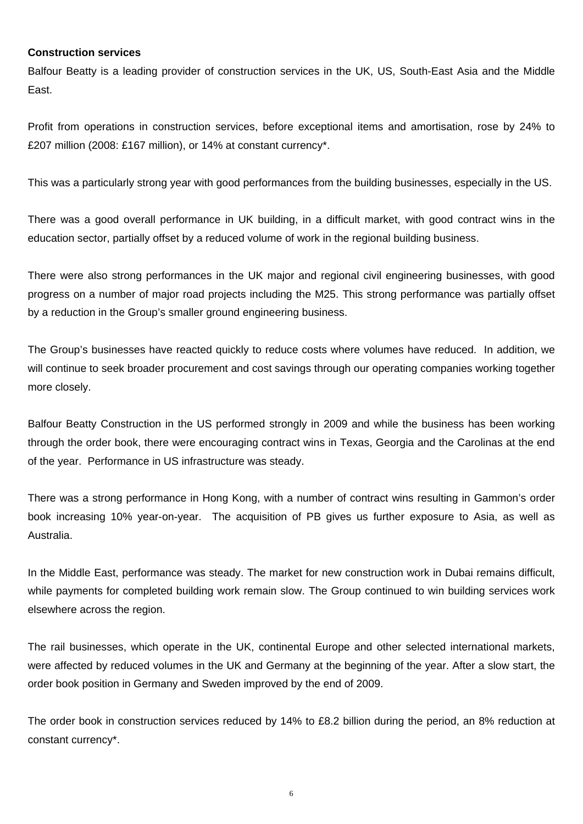# **Construction services**

Balfour Beatty is a leading provider of construction services in the UK, US, South-East Asia and the Middle East.

Profit from operations in construction services, before exceptional items and amortisation, rose by 24% to £207 million (2008: £167 million), or 14% at constant currency\*.

This was a particularly strong year with good performances from the building businesses, especially in the US.

There was a good overall performance in UK building, in a difficult market, with good contract wins in the education sector, partially offset by a reduced volume of work in the regional building business.

There were also strong performances in the UK major and regional civil engineering businesses, with good progress on a number of major road projects including the M25. This strong performance was partially offset by a reduction in the Group's smaller ground engineering business.

The Group's businesses have reacted quickly to reduce costs where volumes have reduced. In addition, we will continue to seek broader procurement and cost savings through our operating companies working together more closely.

Balfour Beatty Construction in the US performed strongly in 2009 and while the business has been working through the order book, there were encouraging contract wins in Texas, Georgia and the Carolinas at the end of the year. Performance in US infrastructure was steady.

There was a strong performance in Hong Kong, with a number of contract wins resulting in Gammon's order book increasing 10% year-on-year. The acquisition of PB gives us further exposure to Asia, as well as Australia.

In the Middle East, performance was steady. The market for new construction work in Dubai remains difficult, while payments for completed building work remain slow. The Group continued to win building services work elsewhere across the region.

The rail businesses, which operate in the UK, continental Europe and other selected international markets, were affected by reduced volumes in the UK and Germany at the beginning of the year. After a slow start, the order book position in Germany and Sweden improved by the end of 2009.

The order book in construction services reduced by 14% to £8.2 billion during the period, an 8% reduction at constant currency\*.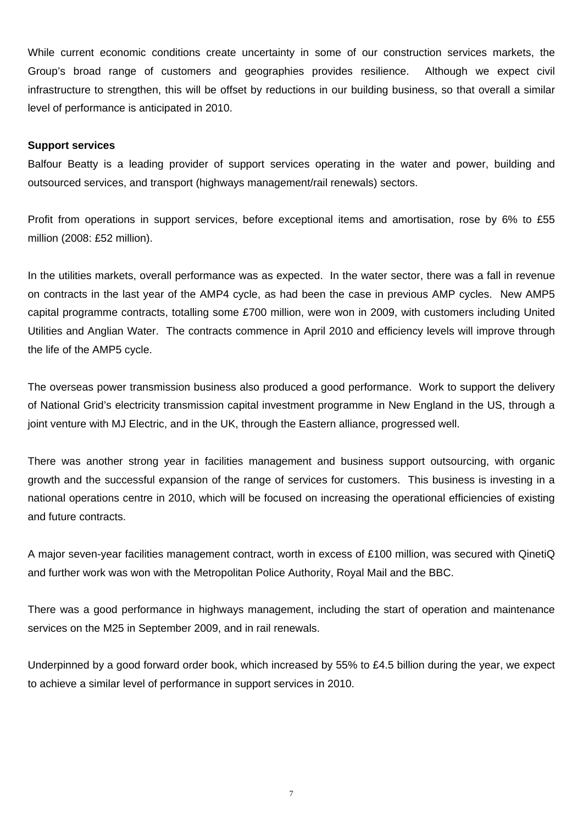While current economic conditions create uncertainty in some of our construction services markets, the Group's broad range of customers and geographies provides resilience. Although we expect civil infrastructure to strengthen, this will be offset by reductions in our building business, so that overall a similar level of performance is anticipated in 2010.

# **Support services**

Balfour Beatty is a leading provider of support services operating in the water and power, building and outsourced services, and transport (highways management/rail renewals) sectors.

Profit from operations in support services, before exceptional items and amortisation, rose by 6% to £55 million (2008: £52 million).

In the utilities markets, overall performance was as expected. In the water sector, there was a fall in revenue on contracts in the last year of the AMP4 cycle, as had been the case in previous AMP cycles. New AMP5 capital programme contracts, totalling some £700 million, were won in 2009, with customers including United Utilities and Anglian Water. The contracts commence in April 2010 and efficiency levels will improve through the life of the AMP5 cycle.

The overseas power transmission business also produced a good performance. Work to support the delivery of National Grid's electricity transmission capital investment programme in New England in the US, through a joint venture with MJ Electric, and in the UK, through the Eastern alliance, progressed well.

There was another strong year in facilities management and business support outsourcing, with organic growth and the successful expansion of the range of services for customers. This business is investing in a national operations centre in 2010, which will be focused on increasing the operational efficiencies of existing and future contracts.

A major seven-year facilities management contract, worth in excess of £100 million, was secured with QinetiQ and further work was won with the Metropolitan Police Authority, Royal Mail and the BBC.

There was a good performance in highways management, including the start of operation and maintenance services on the M25 in September 2009, and in rail renewals.

Underpinned by a good forward order book, which increased by 55% to £4.5 billion during the year, we expect to achieve a similar level of performance in support services in 2010.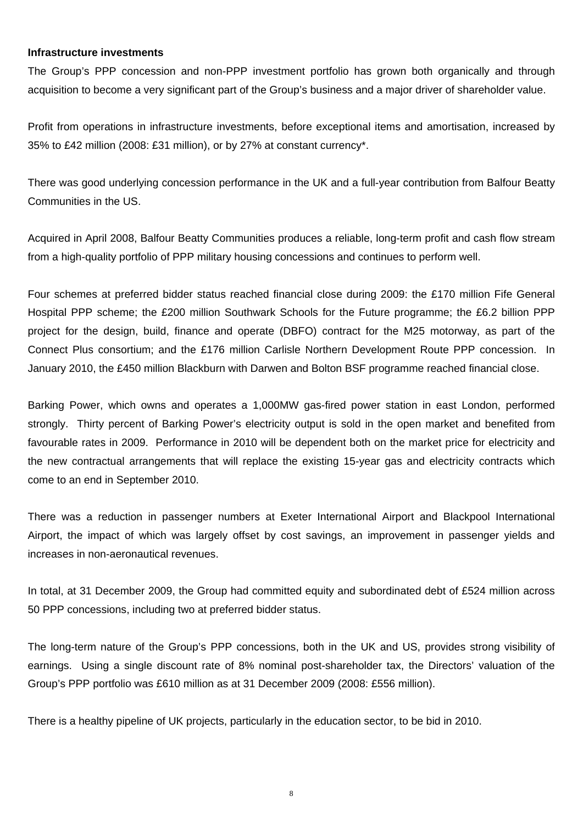# **Infrastructure investments**

The Group's PPP concession and non-PPP investment portfolio has grown both organically and through acquisition to become a very significant part of the Group's business and a major driver of shareholder value.

Profit from operations in infrastructure investments, before exceptional items and amortisation, increased by 35% to £42 million (2008: £31 million), or by 27% at constant currency\*.

There was good underlying concession performance in the UK and a full-year contribution from Balfour Beatty Communities in the US.

Acquired in April 2008, Balfour Beatty Communities produces a reliable, long-term profit and cash flow stream from a high-quality portfolio of PPP military housing concessions and continues to perform well.

Four schemes at preferred bidder status reached financial close during 2009: the £170 million Fife General Hospital PPP scheme; the £200 million Southwark Schools for the Future programme; the £6.2 billion PPP project for the design, build, finance and operate (DBFO) contract for the M25 motorway, as part of the Connect Plus consortium; and the £176 million Carlisle Northern Development Route PPP concession. In January 2010, the £450 million Blackburn with Darwen and Bolton BSF programme reached financial close.

Barking Power, which owns and operates a 1,000MW gas-fired power station in east London, performed strongly. Thirty percent of Barking Power's electricity output is sold in the open market and benefited from favourable rates in 2009. Performance in 2010 will be dependent both on the market price for electricity and the new contractual arrangements that will replace the existing 15-year gas and electricity contracts which come to an end in September 2010.

There was a reduction in passenger numbers at Exeter International Airport and Blackpool International Airport, the impact of which was largely offset by cost savings, an improvement in passenger yields and increases in non-aeronautical revenues.

In total, at 31 December 2009, the Group had committed equity and subordinated debt of £524 million across 50 PPP concessions, including two at preferred bidder status.

The long-term nature of the Group's PPP concessions, both in the UK and US, provides strong visibility of earnings. Using a single discount rate of 8% nominal post-shareholder tax, the Directors' valuation of the Group's PPP portfolio was £610 million as at 31 December 2009 (2008: £556 million).

There is a healthy pipeline of UK projects, particularly in the education sector, to be bid in 2010.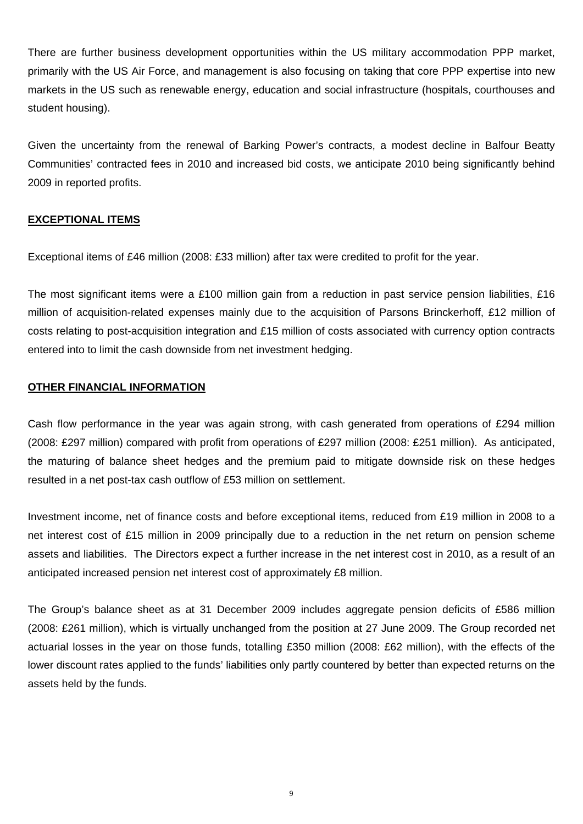There are further business development opportunities within the US military accommodation PPP market, primarily with the US Air Force, and management is also focusing on taking that core PPP expertise into new markets in the US such as renewable energy, education and social infrastructure (hospitals, courthouses and student housing).

Given the uncertainty from the renewal of Barking Power's contracts, a modest decline in Balfour Beatty Communities' contracted fees in 2010 and increased bid costs, we anticipate 2010 being significantly behind 2009 in reported profits.

# **EXCEPTIONAL ITEMS**

Exceptional items of £46 million (2008: £33 million) after tax were credited to profit for the year.

The most significant items were a £100 million gain from a reduction in past service pension liabilities, £16 million of acquisition-related expenses mainly due to the acquisition of Parsons Brinckerhoff, £12 million of costs relating to post-acquisition integration and £15 million of costs associated with currency option contracts entered into to limit the cash downside from net investment hedging.

# **OTHER FINANCIAL INFORMATION**

Cash flow performance in the year was again strong, with cash generated from operations of £294 million (2008: £297 million) compared with profit from operations of £297 million (2008: £251 million). As anticipated, the maturing of balance sheet hedges and the premium paid to mitigate downside risk on these hedges resulted in a net post-tax cash outflow of £53 million on settlement.

Investment income, net of finance costs and before exceptional items, reduced from £19 million in 2008 to a net interest cost of £15 million in 2009 principally due to a reduction in the net return on pension scheme assets and liabilities. The Directors expect a further increase in the net interest cost in 2010, as a result of an anticipated increased pension net interest cost of approximately £8 million.

The Group's balance sheet as at 31 December 2009 includes aggregate pension deficits of £586 million (2008: £261 million), which is virtually unchanged from the position at 27 June 2009. The Group recorded net actuarial losses in the year on those funds, totalling £350 million (2008: £62 million), with the effects of the lower discount rates applied to the funds' liabilities only partly countered by better than expected returns on the assets held by the funds.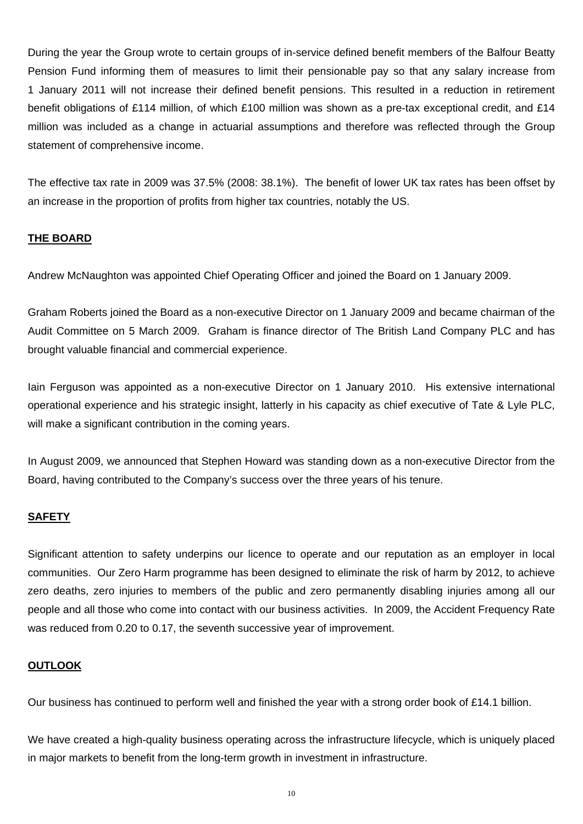During the year the Group wrote to certain groups of in-service defined benefit members of the Balfour Beatty Pension Fund informing them of measures to limit their pensionable pay so that any salary increase from 1 January 2011 will not increase their defined benefit pensions. This resulted in a reduction in retirement benefit obligations of £114 million, of which £100 million was shown as a pre-tax exceptional credit, and £14 million was included as a change in actuarial assumptions and therefore was reflected through the Group statement of comprehensive income.

The effective tax rate in 2009 was 37.5% (2008: 38.1%). The benefit of lower UK tax rates has been offset by an increase in the proportion of profits from higher tax countries, notably the US.

# **THE BOARD**

Andrew McNaughton was appointed Chief Operating Officer and joined the Board on 1 January 2009.

Graham Roberts joined the Board as a non-executive Director on 1 January 2009 and became chairman of the Audit Committee on 5 March 2009. Graham is finance director of The British Land Company PLC and has brought valuable financial and commercial experience.

Iain Ferguson was appointed as a non-executive Director on 1 January 2010. His extensive international operational experience and his strategic insight, latterly in his capacity as chief executive of Tate & Lyle PLC, will make a significant contribution in the coming years.

In August 2009, we announced that Stephen Howard was standing down as a non-executive Director from the Board, having contributed to the Company's success over the three years of his tenure.

# **SAFETY**

Significant attention to safety underpins our licence to operate and our reputation as an employer in local communities. Our Zero Harm programme has been designed to eliminate the risk of harm by 2012, to achieve zero deaths, zero injuries to members of the public and zero permanently disabling injuries among all our people and all those who come into contact with our business activities. In 2009, the Accident Frequency Rate was reduced from 0.20 to 0.17, the seventh successive year of improvement.

# **OUTLOOK**

Our business has continued to perform well and finished the year with a strong order book of £14.1 billion.

We have created a high-quality business operating across the infrastructure lifecycle, which is uniquely placed in major markets to benefit from the long-term growth in investment in infrastructure.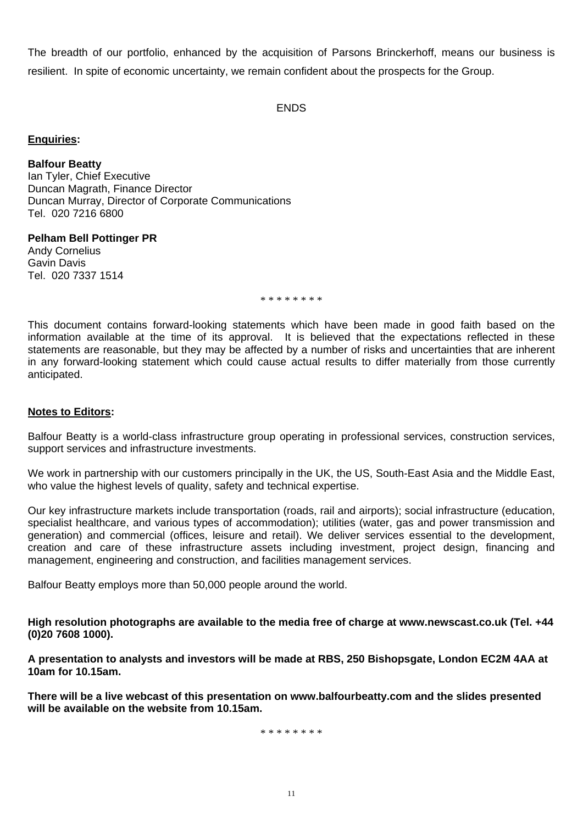The breadth of our portfolio, enhanced by the acquisition of Parsons Brinckerhoff, means our business is resilient. In spite of economic uncertainty, we remain confident about the prospects for the Group.

ENDS

# **Enquiries:**

**Balfour Beatty** 

Ian Tyler, Chief Executive Duncan Magrath, Finance Director Duncan Murray, Director of Corporate Communications Tel. 020 7216 6800

# **Pelham Bell Pottinger PR**

Andy Cornelius Gavin Davis Tel. 020 7337 1514

\* \* \* \* \* \* \* \*

This document contains forward-looking statements which have been made in good faith based on the information available at the time of its approval. It is believed that the expectations reflected in these statements are reasonable, but they may be affected by a number of risks and uncertainties that are inherent in any forward-looking statement which could cause actual results to differ materially from those currently anticipated.

# **Notes to Editors:**

Balfour Beatty is a world-class infrastructure group operating in professional services, construction services, support services and infrastructure investments.

We work in partnership with our customers principally in the UK, the US, South-East Asia and the Middle East, who value the highest levels of quality, safety and technical expertise.

Our key infrastructure markets include transportation (roads, rail and airports); social infrastructure (education, specialist healthcare, and various types of accommodation); utilities (water, gas and power transmission and generation) and commercial (offices, leisure and retail). We deliver services essential to the development, creation and care of these infrastructure assets including investment, project design, financing and management, engineering and construction, and facilities management services.

Balfour Beatty employs more than 50,000 people around the world.

**High resolution photographs are available to the media free of charge at www.newscast.co.uk (Tel. +44 (0)20 7608 1000).** 

**A presentation to analysts and investors will be made at RBS, 250 Bishopsgate, London EC2M 4AA at 10am for 10.15am.** 

**There will be a live webcast of this presentation on www.balfourbeatty.com and the slides presented will be available on the website from 10.15am.** 

\* \* \* \* \* \* \* \*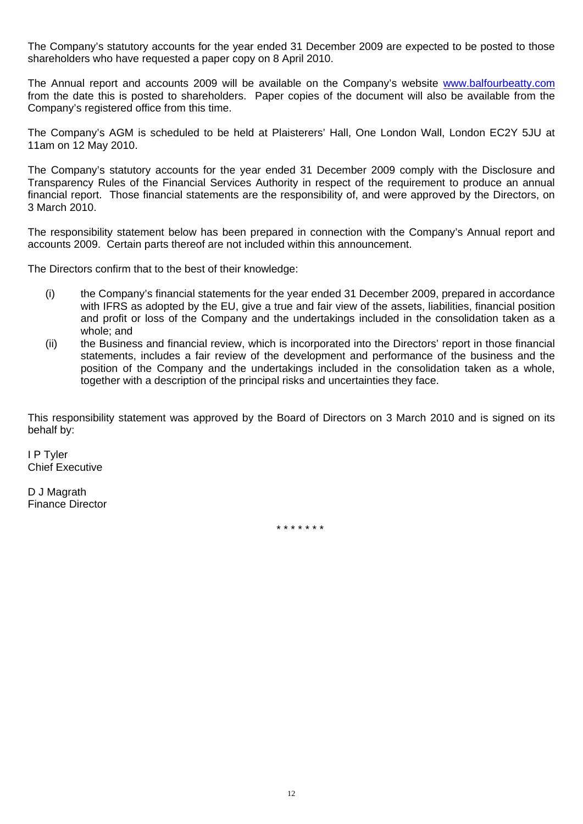The Company's statutory accounts for the year ended 31 December 2009 are expected to be posted to those shareholders who have requested a paper copy on 8 April 2010.

The Annual report and accounts 2009 will be available on the Company's website [www.balfourbeatty.com](http://www.balfourbeatty.com/) from the date this is posted to shareholders. Paper copies of the document will also be available from the Company's registered office from this time.

The Company's AGM is scheduled to be held at Plaisterers' Hall, One London Wall, London EC2Y 5JU at 11am on 12 May 2010.

The Company's statutory accounts for the year ended 31 December 2009 comply with the Disclosure and Transparency Rules of the Financial Services Authority in respect of the requirement to produce an annual financial report. Those financial statements are the responsibility of, and were approved by the Directors, on 3 March 2010.

The responsibility statement below has been prepared in connection with the Company's Annual report and accounts 2009. Certain parts thereof are not included within this announcement.

The Directors confirm that to the best of their knowledge:

- (i) the Company's financial statements for the year ended 31 December 2009, prepared in accordance with IFRS as adopted by the EU, give a true and fair view of the assets, liabilities, financial position and profit or loss of the Company and the undertakings included in the consolidation taken as a whole; and
- (ii) the Business and financial review, which is incorporated into the Directors' report in those financial statements, includes a fair review of the development and performance of the business and the position of the Company and the undertakings included in the consolidation taken as a whole, together with a description of the principal risks and uncertainties they face.

This responsibility statement was approved by the Board of Directors on 3 March 2010 and is signed on its behalf by:

I P Tyler Chief Executive

D J Magrath Finance Director

\* \* \* \* \* \* \*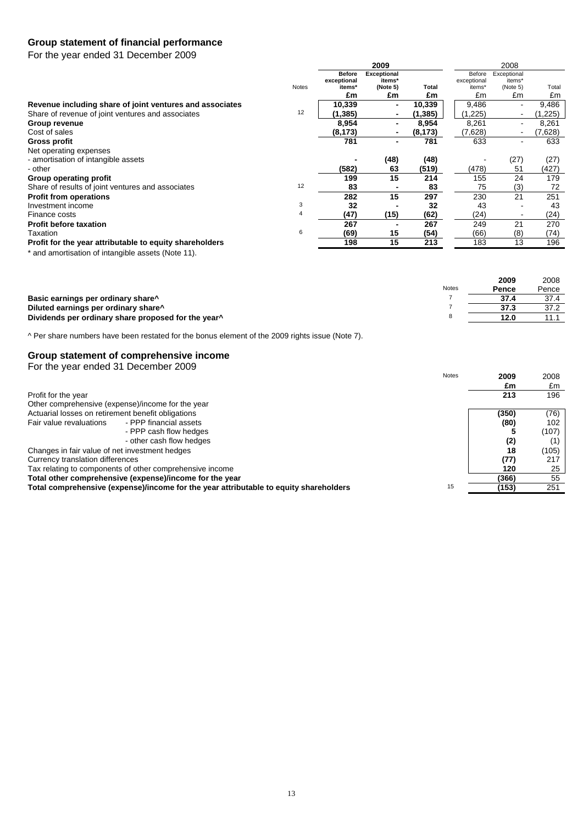# **Group statement of financial performance**

For the year ended 31 December 2009

|                                                          |              | 2009                         |                              |          | 2008                  |                       |         |
|----------------------------------------------------------|--------------|------------------------------|------------------------------|----------|-----------------------|-----------------------|---------|
|                                                          |              | <b>Before</b><br>exceptional | <b>Exceptional</b><br>items* |          | Before<br>exceptional | Exceptional<br>items* |         |
|                                                          | <b>Notes</b> | items*                       | (Note 5)                     | Total    | items*                | (Note 5)              | Total   |
|                                                          |              | £m                           | £m                           | £m       | £m                    | £m                    | £m      |
| Revenue including share of joint ventures and associates |              | 10,339                       | $\blacksquare$               | 10,339   | 9,486                 | $\blacksquare$        | 9,486   |
| Share of revenue of joint ventures and associates        | 12           | (1,385)                      |                              | (1, 385) | (1,225)               |                       | 1,225   |
| Group revenue                                            |              | 8,954                        | $\blacksquare$               | 8,954    | 8,261                 |                       | 8,261   |
| Cost of sales                                            |              | (8, 173)                     | ٠                            | (8, 173) | (7,628)               |                       | (7,628) |
| Gross profit                                             |              | 781                          | $\blacksquare$               | 781      | 633                   |                       | 633     |
| Net operating expenses                                   |              |                              |                              |          |                       |                       |         |
| - amortisation of intangible assets                      |              |                              | (48)                         | (48)     |                       | (27)                  | (27)    |
| - other                                                  |              | (582)                        | 63                           | (519)    | (478)                 | 51                    | (427)   |
| Group operating profit                                   |              | 199                          | 15                           | 214      | 155                   | 24                    | 179     |
| Share of results of joint ventures and associates        | 12           | 83                           |                              | 83       | 75                    | (3)                   | 72      |
| <b>Profit from operations</b>                            |              | 282                          | 15                           | 297      | 230                   | 21                    | 251     |
| Investment income                                        | 3            | 32                           |                              | 32       | 43                    |                       | 43      |
| Finance costs                                            | 4            | (47)                         | (15)                         | (62)     | (24)                  |                       | (24)    |
| <b>Profit before taxation</b>                            |              | 267                          |                              | 267      | 249                   | 21                    | 270     |
| Taxation                                                 | 6            | (69)                         | 15                           | (54)     | (66)                  | (8)                   | (74)    |
| Profit for the year attributable to equity shareholders  |              | 198                          | 15                           | 213      | 183                   | 13                    | 196     |

\* and amortisation of intangible assets (Note 11).

|                                                                 |       | 2009  | 2008  |
|-----------------------------------------------------------------|-------|-------|-------|
|                                                                 | Notes | Pence | Pence |
| Basic earnings per ordinary share <sup>^</sup>                  |       | 37.4  | 37.4  |
| Diluted earnings per ordinary share <sup>^</sup>                |       | 37.3  | 37.2  |
| Dividends per ordinary share proposed for the year <sup>^</sup> |       | 12.0  | 11 '  |

^ Per share numbers have been restated for the bonus element of the 2009 rights issue (Note 7).

## **Group statement of comprehensive income**

| <b>Notes</b><br>2009<br>£m<br>213<br>Profit for the year<br>Other comprehensive (expense)/income for the year<br>Actuarial losses on retirement benefit obligations<br>(350)<br>- PPP financial assets<br>Fair value revaluations<br>(80) | For the year ended 31 December 2009 |
|-------------------------------------------------------------------------------------------------------------------------------------------------------------------------------------------------------------------------------------------|-------------------------------------|
|                                                                                                                                                                                                                                           | 2008                                |
|                                                                                                                                                                                                                                           | £m                                  |
|                                                                                                                                                                                                                                           | 196                                 |
|                                                                                                                                                                                                                                           |                                     |
|                                                                                                                                                                                                                                           | (76)                                |
|                                                                                                                                                                                                                                           | 102                                 |
| - PPP cash flow hedges                                                                                                                                                                                                                    | (107)                               |
| - other cash flow hedges<br>(2)                                                                                                                                                                                                           | (1)                                 |
| Changes in fair value of net investment hedges<br>18                                                                                                                                                                                      | (105)                               |
| (77)<br>Currency translation differences                                                                                                                                                                                                  | 217                                 |
| Tax relating to components of other comprehensive income<br>120                                                                                                                                                                           | 25                                  |
| Total other comprehensive (expense)/income for the year<br>(366)                                                                                                                                                                          | 55                                  |
| 15<br>Total comprehensive (expense)/income for the year attributable to equity shareholders<br>(153)                                                                                                                                      | 251                                 |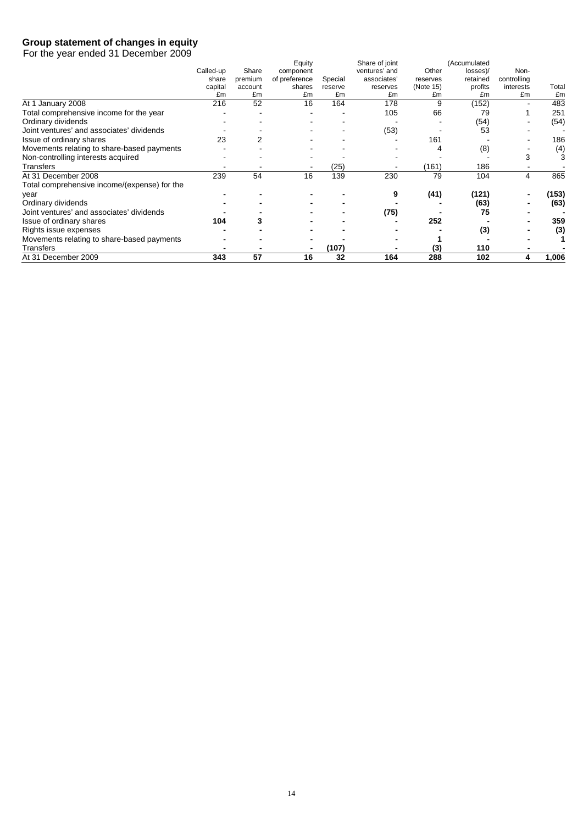# **Group statement of changes in equity**

For the year ended 31 December 2009

|                                              |           |         | Equity        |         | Share of joint |           | (Accumulated |             |       |
|----------------------------------------------|-----------|---------|---------------|---------|----------------|-----------|--------------|-------------|-------|
|                                              | Called-up | Share   | component     |         | ventures' and  | Other     | losses)/     | Non-        |       |
|                                              | share     | premium | of preference | Special | associates'    | reserves  | retained     | controlling |       |
|                                              | capital   | account | shares        | reserve | reserves       | (Note 15) | profits      | interests   | Total |
|                                              | £m        | £m      | £m            | £m      | £m             | £m        | £m           | £m          | £m    |
| At 1 January 2008                            | 216       | 52      | 16            | 164     | 178            | 9         | (152)        |             | 483   |
| Total comprehensive income for the year      |           |         |               |         | 105            | 66        | 79           |             | 251   |
| Ordinary dividends                           |           |         |               |         |                |           | (54)         |             | (54)  |
| Joint ventures' and associates' dividends    |           |         |               |         | (53)           |           | 53           |             |       |
| Issue of ordinary shares                     | 23        |         |               |         |                | 161       |              |             | 186   |
| Movements relating to share-based payments   |           |         |               |         |                |           | (8)          |             | (4)   |
| Non-controlling interests acquired           |           |         |               |         |                |           |              |             | 3     |
| Transfers                                    |           |         |               | (25)    |                | (161)     | 186          |             |       |
| At 31 December 2008                          | 239       | 54      | 16            | 139     | 230            | 79        | 104          | 4           | 865   |
| Total comprehensive income/(expense) for the |           |         |               |         |                |           |              |             |       |
| year                                         |           |         |               |         |                | (41)      | (121)        |             | (153) |
| Ordinary dividends                           |           |         |               |         |                |           | (63)         |             | (63)  |
| Joint ventures' and associates' dividends    |           |         |               |         | (75)           |           | 75           |             |       |
| Issue of ordinary shares                     | 104       |         |               |         |                | 252       |              |             | 359   |
| Rights issue expenses                        |           |         |               |         |                |           | (3)          |             | (3)   |
| Movements relating to share-based payments   |           |         |               |         |                |           |              |             |       |
| Transfers                                    |           |         |               | (107)   |                | (3)       | 110          |             |       |
| At 31 December 2009                          | 343       | 57      | 16            | 32      | 164            | 288       | 102          | 4           | 1,006 |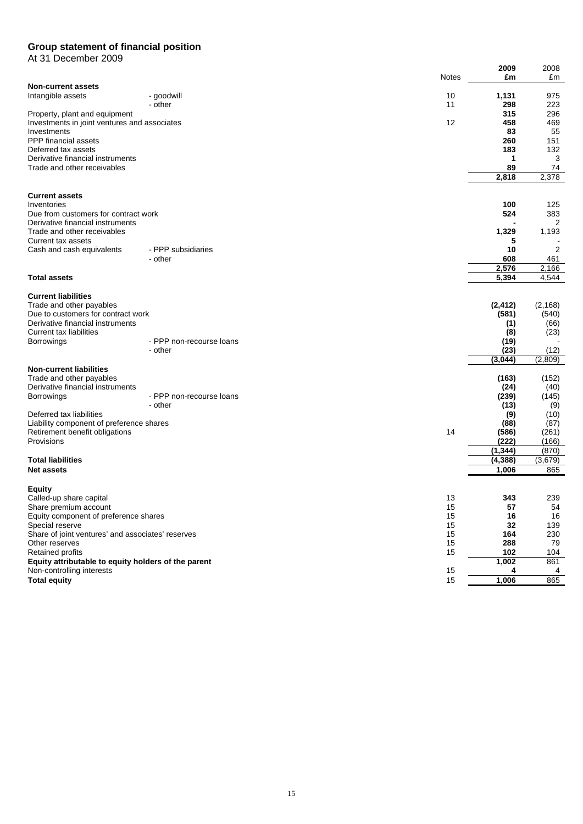## **Group statement of financial position**

At 31 December 2009

|                                                                                  |                                     |              | 2009              | 2008           |
|----------------------------------------------------------------------------------|-------------------------------------|--------------|-------------------|----------------|
|                                                                                  |                                     | <b>Notes</b> | £m                | £m             |
| <b>Non-current assets</b><br>Intangible assets                                   | - goodwill                          | 10           | 1,131             | 975            |
|                                                                                  | - other                             | 11           | 298               | 223            |
| Property, plant and equipment                                                    |                                     |              | 315               | 296            |
| Investments in joint ventures and associates                                     |                                     | 12           | 458               | 469            |
| Investments                                                                      |                                     |              | 83                | 55             |
| PPP financial assets<br>Deferred tax assets                                      |                                     |              | 260<br>183        | 151<br>132     |
| Derivative financial instruments                                                 |                                     |              | 1                 | 3              |
| Trade and other receivables                                                      |                                     |              | 89                | 74             |
|                                                                                  |                                     |              | 2.818             | 2,378          |
|                                                                                  |                                     |              |                   |                |
| <b>Current assets</b><br>Inventories                                             |                                     |              | 100               | 125            |
| Due from customers for contract work                                             |                                     |              | 524               | 383            |
| Derivative financial instruments                                                 |                                     |              |                   | 2              |
| Trade and other receivables                                                      |                                     |              | 1,329             | 1,193          |
| Current tax assets                                                               |                                     |              | 5                 |                |
| Cash and cash equivalents                                                        | - PPP subsidiaries<br>- other       |              | 10<br>608         | 2<br>461       |
|                                                                                  |                                     |              | 2,576             | 2,166          |
| <b>Total assets</b>                                                              |                                     |              | 5,394             | 4,544          |
| <b>Current liabilities</b>                                                       |                                     |              |                   |                |
| Trade and other payables                                                         |                                     |              | (2, 412)          | (2, 168)       |
| Due to customers for contract work                                               |                                     |              | (581)             | (540)          |
| Derivative financial instruments                                                 |                                     |              | (1)               | (66)           |
| Current tax liabilities                                                          | - PPP non-recourse loans            |              | (8)               | (23)           |
| <b>Borrowings</b>                                                                | - other                             |              | (19)<br>(23)      | (12)           |
|                                                                                  |                                     |              | (3,044)           | (2,809)        |
| <b>Non-current liabilities</b>                                                   |                                     |              |                   |                |
| Trade and other payables                                                         |                                     |              | (163)             | (152)          |
| Derivative financial instruments                                                 |                                     |              | (24)              | (40)           |
| <b>Borrowings</b>                                                                | - PPP non-recourse loans<br>- other |              | (239)<br>(13)     | (145)<br>(9)   |
| Deferred tax liabilities                                                         |                                     |              | (9)               | (10)           |
| Liability component of preference shares                                         |                                     |              | (88)              | (87)           |
| Retirement benefit obligations                                                   |                                     | 14           | (586)             | (261)          |
| Provisions                                                                       |                                     |              | (222)             | (166)          |
|                                                                                  |                                     |              | (1, 344)          | (870)          |
| <b>Total liabilities</b><br><b>Net assets</b>                                    |                                     |              | (4, 388)<br>1,006 | (3,679)<br>865 |
|                                                                                  |                                     |              |                   |                |
| <b>Equity</b>                                                                    |                                     |              |                   |                |
| Called-up share capital                                                          |                                     | 13<br>15     | 343<br>57         | 239<br>54      |
| Share premium account<br>Equity component of preference shares                   |                                     | 15           | 16                | 16             |
| Special reserve                                                                  |                                     | 15           | 32                | 139            |
| Share of joint ventures' and associates' reserves                                |                                     | 15           | 164               | 230            |
| Other reserves                                                                   |                                     | 15           | 288               | 79             |
| <b>Retained profits</b>                                                          |                                     | 15           | 102               | 104            |
| Equity attributable to equity holders of the parent<br>Non-controlling interests |                                     | 15           | 1,002<br>4        | 861<br>4       |
| <b>Total equity</b>                                                              |                                     | 15           | 1,006             | 865            |
|                                                                                  |                                     |              |                   |                |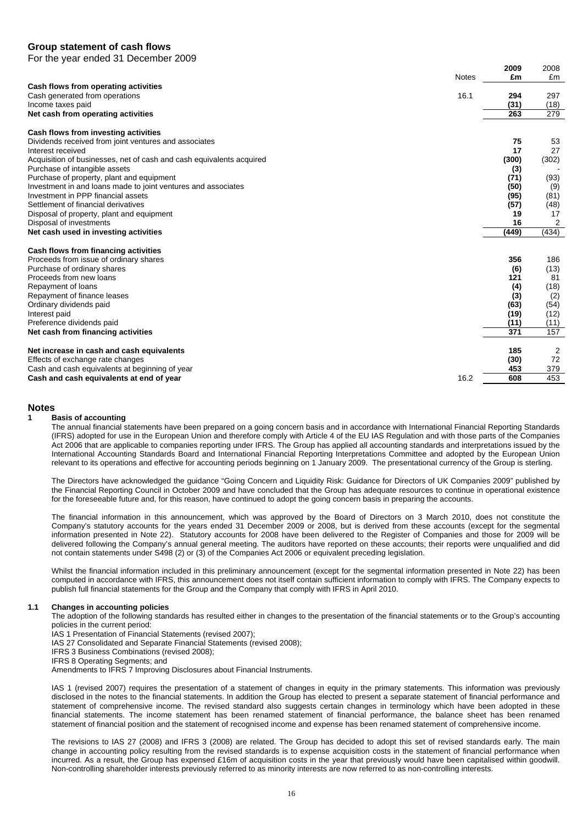## **Group statement of cash flows**

For the year ended 31 December 2009

|                                                                      | 2009  | 2008  |
|----------------------------------------------------------------------|-------|-------|
| <b>Notes</b>                                                         | £m    | £m    |
| Cash flows from operating activities                                 |       |       |
| 16.1<br>Cash generated from operations                               | 294   | 297   |
| Income taxes paid                                                    | (31)  | (18)  |
| Net cash from operating activities                                   | 263   | 279   |
| Cash flows from investing activities                                 |       |       |
| Dividends received from joint ventures and associates                | 75    | 53    |
| Interest received                                                    | 17    | 27    |
| Acquisition of businesses, net of cash and cash equivalents acquired | (300) | (302) |
| Purchase of intangible assets                                        | (3)   |       |
| Purchase of property, plant and equipment                            | (71)  | (93)  |
| Investment in and loans made to joint ventures and associates        | (50)  | (9)   |
| Investment in PPP financial assets                                   | (95)  | (81)  |
| Settlement of financial derivatives                                  | (57)  | (48)  |
| Disposal of property, plant and equipment                            | 19    | 17    |
| Disposal of investments                                              | 16    | 2     |
| Net cash used in investing activities                                | (449) | (434) |
| Cash flows from financing activities                                 |       |       |
| Proceeds from issue of ordinary shares                               | 356   | 186   |
| Purchase of ordinary shares                                          | (6)   | (13)  |
| Proceeds from new loans                                              | 121   | 81    |
| Repayment of loans                                                   | (4)   | (18)  |
| Repayment of finance leases                                          | (3)   | (2)   |
| Ordinary dividends paid                                              | (63)  | (54)  |
| Interest paid                                                        | (19)  | (12)  |
| Preference dividends paid                                            | (11)  | (11)  |
| Net cash from financing activities                                   | 371   | 157   |
| Net increase in cash and cash equivalents                            | 185   | 2     |
| Effects of exchange rate changes                                     | (30)  | 72    |
| Cash and cash equivalents at beginning of year                       | 453   | 379   |
| 16.2<br>Cash and cash equivalents at end of year                     | 608   | 453   |

## **Notes**

## **1 Basis of accounting**

The annual financial statements have been prepared on a going concern basis and in accordance with International Financial Reporting Standards (IFRS) adopted for use in the European Union and therefore comply with Article 4 of the EU IAS Regulation and with those parts of the Companies Act 2006 that are applicable to companies reporting under IFRS. The Group has applied all accounting standards and interpretations issued by the International Accounting Standards Board and International Financial Reporting Interpretations Committee and adopted by the European Union relevant to its operations and effective for accounting periods beginning on 1 January 2009. The presentational currency of the Group is sterling.

The Directors have acknowledged the guidance "Going Concern and Liquidity Risk: Guidance for Directors of UK Companies 2009" published by the Financial Reporting Council in October 2009 and have concluded that the Group has adequate resources to continue in operational existence for the foreseeable future and, for this reason, have continued to adopt the going concern basis in preparing the accounts.

The financial information in this announcement, which was approved by the Board of Directors on 3 March 2010, does not constitute the Company's statutory accounts for the years ended 31 December 2009 or 2008, but is derived from these accounts (except for the segmental information presented in Note 22). Statutory accounts for 2008 have been delivered to the Register of Companies and those for 2009 will be delivered following the Company's annual general meeting. The auditors have reported on these accounts; their reports were unqualified and did not contain statements under S498 (2) or (3) of the Companies Act 2006 or equivalent preceding legislation.

Whilst the financial information included in this preliminary announcement (except for the segmental information presented in Note 22) has been computed in accordance with IFRS, this announcement does not itself contain sufficient information to comply with IFRS. The Company expects to publish full financial statements for the Group and the Company that comply with IFRS in April 2010.

## **1.1 Changes in accounting policies**

The adoption of the following standards has resulted either in changes to the presentation of the financial statements or to the Group's accounting policies in the current period:

IAS 1 Presentation of Financial Statements (revised 2007);

IAS 27 Consolidated and Separate Financial Statements (revised 2008);

IFRS 3 Business Combinations (revised 2008);

IFRS 8 Operating Segments; and

Amendments to IFRS 7 Improving Disclosures about Financial Instruments.

IAS 1 (revised 2007) requires the presentation of a statement of changes in equity in the primary statements. This information was previously disclosed in the notes to the financial statements. In addition the Group has elected to present a separate statement of financial performance and statement of comprehensive income. The revised standard also suggests certain changes in terminology which have been adopted in these financial statements. The income statement has been renamed statement of financial performance, the balance sheet has been renamed statement of financial position and the statement of recognised income and expense has been renamed statement of comprehensive income.

The revisions to IAS 27 (2008) and IFRS 3 (2008) are related. The Group has decided to adopt this set of revised standards early. The main change in accounting policy resulting from the revised standards is to expense acquisition costs in the statement of financial performance when incurred. As a result, the Group has expensed £16m of acquisition costs in the year that previously would have been capitalised within goodwill. Non-controlling shareholder interests previously referred to as minority interests are now referred to as non-controlling interests.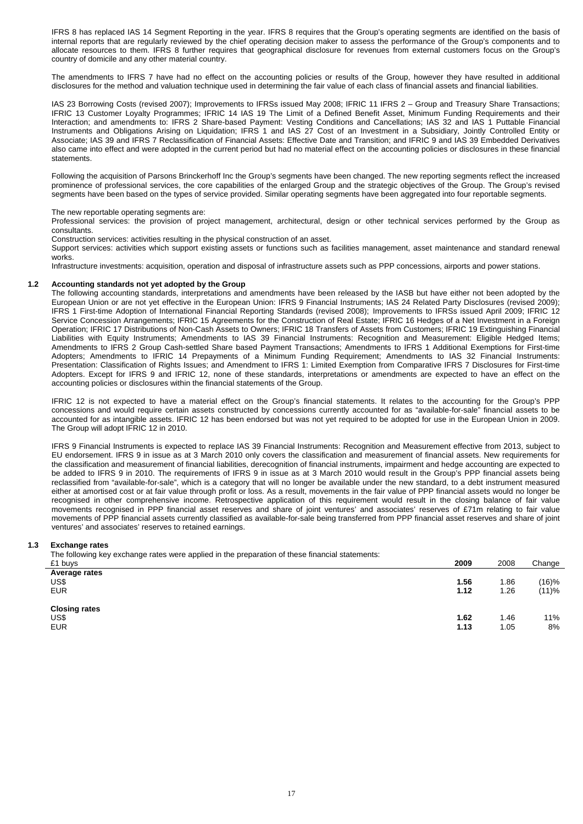IFRS 8 has replaced IAS 14 Segment Reporting in the year. IFRS 8 requires that the Group's operating segments are identified on the basis of internal reports that are regularly reviewed by the chief operating decision maker to assess the performance of the Group's components and to allocate resources to them. IFRS 8 further requires that geographical disclosure for revenues from external customers focus on the Group's country of domicile and any other material country.

The amendments to IFRS 7 have had no effect on the accounting policies or results of the Group, however they have resulted in additional disclosures for the method and valuation technique used in determining the fair value of each class of financial assets and financial liabilities.

IAS 23 Borrowing Costs (revised 2007); Improvements to IFRSs issued May 2008; IFRIC 11 IFRS 2 – Group and Treasury Share Transactions; IFRIC 13 Customer Loyalty Programmes; IFRIC 14 IAS 19 The Limit of a Defined Benefit Asset, Minimum Funding Requirements and their Interaction; and amendments to: IFRS 2 Share-based Payment: Vesting Conditions and Cancellations; IAS 32 and IAS 1 Puttable Financial Instruments and Obligations Arising on Liquidation; IFRS 1 and IAS 27 Cost of an Investment in a Subsidiary, Jointly Controlled Entity or Associate; IAS 39 and IFRS 7 Reclassification of Financial Assets: Effective Date and Transition; and IFRIC 9 and IAS 39 Embedded Derivatives also came into effect and were adopted in the current period but had no material effect on the accounting policies or disclosures in these financial **statements** 

Following the acquisition of Parsons Brinckerhoff Inc the Group's segments have been changed. The new reporting segments reflect the increased prominence of professional services, the core capabilities of the enlarged Group and the strategic objectives of the Group. The Group's revised segments have been based on the types of service provided. Similar operating segments have been aggregated into four reportable segments.

The new reportable operating segments are:

Professional services: the provision of project management, architectural, design or other technical services performed by the Group as consultants.

Construction services: activities resulting in the physical construction of an asset.

Support services: activities which support existing assets or functions such as facilities management, asset maintenance and standard renewal works.

Infrastructure investments: acquisition, operation and disposal of infrastructure assets such as PPP concessions, airports and power stations.

## **1.2 Accounting standards not yet adopted by the Group**

The following accounting standards, interpretations and amendments have been released by the IASB but have either not been adopted by the European Union or are not yet effective in the European Union: IFRS 9 Financial Instruments; IAS 24 Related Party Disclosures (revised 2009); IFRS 1 First-time Adoption of International Financial Reporting Standards (revised 2008); Improvements to IFRSs issued April 2009; IFRIC 12 Service Concession Arrangements; IFRIC 15 Agreements for the Construction of Real Estate; IFRIC 16 Hedges of a Net Investment in a Foreign Operation; IFRIC 17 Distributions of Non-Cash Assets to Owners; IFRIC 18 Transfers of Assets from Customers; IFRIC 19 Extinguishing Financial Liabilities with Equity Instruments; Amendments to IAS 39 Financial Instruments: Recognition and Measurement: Eligible Hedged Items; Amendments to IFRS 2 Group Cash-settled Share based Payment Transactions; Amendments to IFRS 1 Additional Exemptions for First-time Adopters; Amendments to IFRIC 14 Prepayments of a Minimum Funding Requirement; Amendments to IAS 32 Financial Instruments: Presentation: Classification of Rights Issues; and Amendment to IFRS 1: Limited Exemption from Comparative IFRS 7 Disclosures for First-time Adopters. Except for IFRS 9 and IFRIC 12, none of these standards, interpretations or amendments are expected to have an effect on the accounting policies or disclosures within the financial statements of the Group.

IFRIC 12 is not expected to have a material effect on the Group's financial statements. It relates to the accounting for the Group's PPP concessions and would require certain assets constructed by concessions currently accounted for as "available-for-sale" financial assets to be accounted for as intangible assets. IFRIC 12 has been endorsed but was not yet required to be adopted for use in the European Union in 2009. The Group will adopt IFRIC 12 in 2010.

IFRS 9 Financial Instruments is expected to replace IAS 39 Financial Instruments: Recognition and Measurement effective from 2013, subject to EU endorsement. IFRS 9 in issue as at 3 March 2010 only covers the classification and measurement of financial assets. New requirements for the classification and measurement of financial liabilities, derecognition of financial instruments, impairment and hedge accounting are expected to be added to IFRS 9 in 2010. The requirements of IFRS 9 in issue as at 3 March 2010 would result in the Group's PPP financial assets being reclassified from "available-for-sale", which is a category that will no longer be available under the new standard, to a debt instrument measured either at amortised cost or at fair value through profit or loss. As a result, movements in the fair value of PPP financial assets would no longer be recognised in other comprehensive income. Retrospective application of this requirement would result in the closing balance of fair value movements recognised in PPP financial asset reserves and share of joint ventures' and associates' reserves of £71m relating to fair value movements of PPP financial assets currently classified as available-for-sale being transferred from PPP financial asset reserves and share of joint ventures' and associates' reserves to retained earnings.

## **1.3 Exchange rates**

The following key exchange rates were applied in the preparation of these financial statements:

| £1 buys                                    | 2009         | 2008         | Change                     |
|--------------------------------------------|--------------|--------------|----------------------------|
| Average rates<br>US\$<br><b>EUR</b>        | 1.56<br>1.12 | 1.86<br>1.26 | <sup>1</sup> 16)%<br>(11)% |
| <b>Closing rates</b><br>US\$<br><b>EUR</b> | 1.62<br>1.13 | 1.46<br>1.05 | 11%<br>8%                  |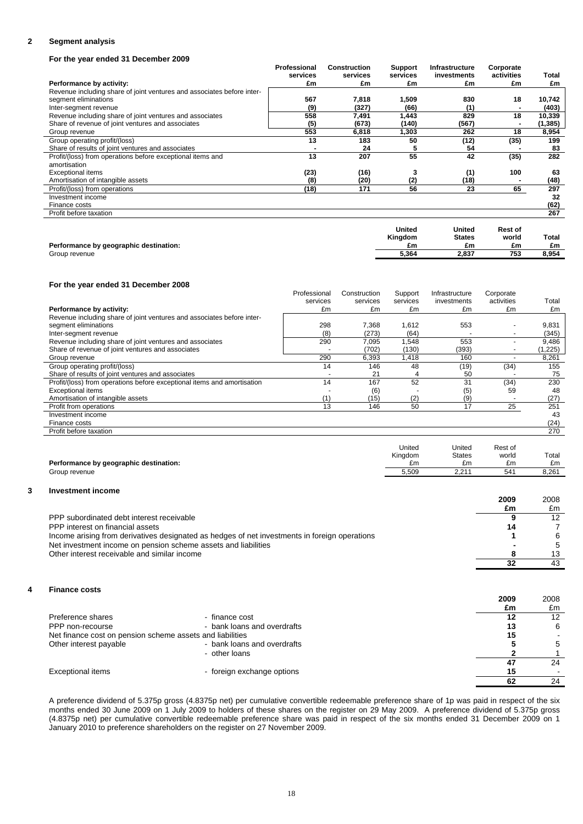## **2 Segment analysis**

## **For the year ended 31 December 2009**

|                                                                        | Professional | <b>Construction</b> | <b>Support</b> | Infrastructure | Corporate  |          |
|------------------------------------------------------------------------|--------------|---------------------|----------------|----------------|------------|----------|
|                                                                        | services     | services            | services       | investments    | activities | Total    |
| Performance by activity:                                               | £m           | £m                  | £m             | £m             | £m         | £m       |
| Revenue including share of joint ventures and associates before inter- |              |                     |                |                |            |          |
| segment eliminations                                                   | 567          | 7,818               | 1,509          | 830            | 18         | 10,742   |
| Inter-segment revenue                                                  | (9)          | (327)               | (66)           | (1)            |            | (403)    |
| Revenue including share of joint ventures and associates               | 558          | 7,491               | 1,443          | 829            | 18         | 10,339   |
| Share of revenue of joint ventures and associates                      | (5)          | (673)               | (140)          | (567)          |            | (1, 385) |
| Group revenue                                                          | 553          | 6,818               | 1,303          | 262            | 18         | 8,954    |
| Group operating profit/(loss)                                          | 13           | 183                 | 50             | (12)           | (35)       | 199      |
| Share of results of joint ventures and associates                      |              | 24                  | 5              | 54             |            | 83       |
| Profit/(loss) from operations before exceptional items and             | 13           | 207                 | 55             | 42             | (35)       | 282      |
| amortisation                                                           |              |                     |                |                |            |          |
| <b>Exceptional items</b>                                               | (23)         | (16)                |                | (1)            | 100        | 63       |
| Amortisation of intangible assets                                      | (8)          | (20)                | (2)            | (18)           |            | (48)     |
| Profit/(loss) from operations                                          | (18)         | 171                 | 56             | 23             | 65         | 297      |
| Investment income                                                      |              |                     |                |                |            | 32       |
| Finance costs                                                          |              |                     |                |                |            | (62)     |
| Profit before taxation                                                 |              |                     |                |                |            | 267      |

|                                        | United<br><b>Kingdom</b> | <b>United</b><br><b>States</b> | Rest of<br>world | Total |
|----------------------------------------|--------------------------|--------------------------------|------------------|-------|
| Performance by geographic destination: | £m                       | £m                             | £m               | £m    |
| Group revenue                          | 5.364                    | 2.837                          | 753              | 8,954 |

### **For the year ended 31 December 2008**

|                                                                         | Professional | Construction | Support  | Infrastructure | Corporate                |         |
|-------------------------------------------------------------------------|--------------|--------------|----------|----------------|--------------------------|---------|
|                                                                         | services     | services     | services | investments    | activities               | Total   |
| Performance by activity:                                                | £m           | £m           | £m       | £m             | £m                       | £m      |
| Revenue including share of joint ventures and associates before inter-  |              |              |          |                |                          |         |
| segment eliminations                                                    | 298          | 7,368        | 1,612    | 553            | $\overline{\phantom{0}}$ | 9,831   |
| Inter-segment revenue                                                   | (8)          | (273)        | (64)     |                |                          | (345)   |
| Revenue including share of joint ventures and associates                | 290          | 7,095        | 1,548    | 553            |                          | 9,486   |
| Share of revenue of joint ventures and associates                       |              | (702)        | (130)    | (393)          |                          | (1,225) |
| Group revenue                                                           | 290          | 6,393        | 1,418    | 160            |                          | 8,261   |
| Group operating profit/(loss)                                           | 14           | 146          | 48       | (19)           | (34)                     | 155     |
| Share of results of joint ventures and associates                       |              | 21           |          | 50             |                          | 75      |
| Profit/(loss) from operations before exceptional items and amortisation | 14           | 167          | 52       | 31             | (34)                     | 230     |
| <b>Exceptional items</b>                                                |              | (6)          |          | (5)            | 59                       | 48      |
| Amortisation of intangible assets                                       | (1)          | (15)         | (2)      | (9)            |                          | (27)    |
| Profit from operations                                                  | 13           | 146          | 50       | 17             | 25                       | 251     |
| Investment income                                                       |              |              |          |                |                          | 43      |
| Finance costs                                                           |              |              |          |                |                          | (24)    |
| Profit before taxation                                                  |              |              |          |                |                          | 270     |
|                                                                         |              |              |          |                |                          |         |

|                                        | United  | United         | Rest of |       |
|----------------------------------------|---------|----------------|---------|-------|
|                                        | Kingdom | <b>States</b>  | world   | Total |
| Performance by geographic destination: | £m      | £m             | £m      | £m    |
| Group revenue                          | 5.509   | 2.21'<br>4.L I | 541     | 8.261 |
|                                        |         |                |         |       |

## **3 Investment income**

|                                                                                               | 2009 | 2008 |
|-----------------------------------------------------------------------------------------------|------|------|
|                                                                                               | £m   | £m   |
| PPP subordinated debt interest receivable                                                     |      | 12   |
| PPP interest on financial assets                                                              | 14   |      |
| Income arising from derivatives designated as hedges of net investments in foreign operations |      |      |
| Net investment income on pension scheme assets and liabilities                                |      |      |
| Other interest receivable and similar income                                                  |      | 13   |
|                                                                                               |      | 43   |

## **4 Finance costs**

| .                                                         |                             | 2009<br>£m | 2008<br>£m |
|-----------------------------------------------------------|-----------------------------|------------|------------|
| Preference shares                                         | - finance cost              | 12         | 12         |
| PPP non-recourse                                          | - bank loans and overdrafts | 13         | 6          |
| Net finance cost on pension scheme assets and liabilities |                             | 15         |            |
| Other interest payable                                    | - bank loans and overdrafts |            | 5          |
|                                                           | - other loans               |            |            |
|                                                           |                             | 47         | 24         |
| <b>Exceptional items</b>                                  | - foreign exchange options  | 15         |            |
|                                                           |                             | 62         | 24         |

A preference dividend of 5.375p gross (4.8375p net) per cumulative convertible redeemable preference share of 1p was paid in respect of the six months ended 30 June 2009 on 1 July 2009 to holders of these shares on the register on 29 May 2009. A preference dividend of 5.375p gross (4.8375p net) per cumulative convertible redeemable preference share was paid in respect of the six months ended 31 December 2009 on 1 January 2010 to preference shareholders on the register on 27 November 2009.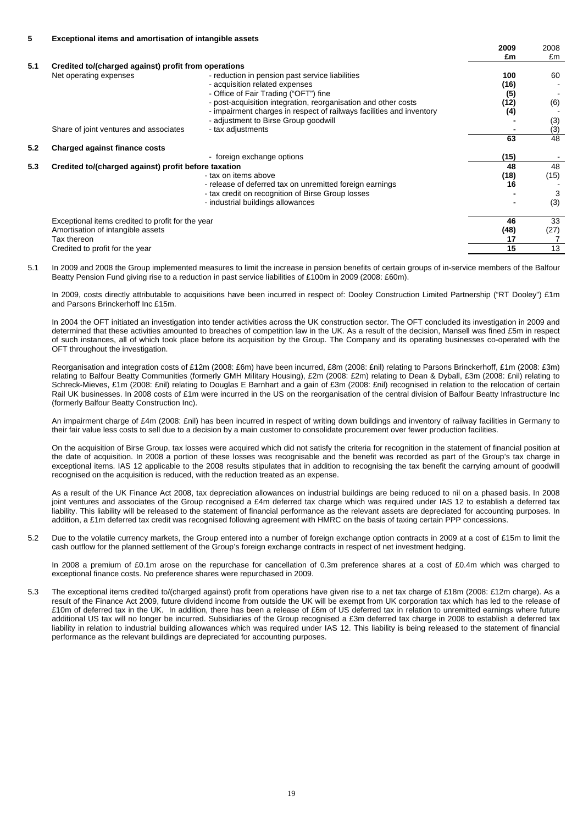|     |                                                      |                                                                      | 2009 | 2008 |
|-----|------------------------------------------------------|----------------------------------------------------------------------|------|------|
|     |                                                      |                                                                      | £m   | £m   |
| 5.1 | Credited to/(charged against) profit from operations |                                                                      |      |      |
|     | Net operating expenses                               | - reduction in pension past service liabilities                      | 100  | 60   |
|     |                                                      | - acquisition related expenses                                       | (16) |      |
|     |                                                      | - Office of Fair Trading ("OFT") fine                                | (5)  |      |
|     |                                                      | - post-acquisition integration, reorganisation and other costs       | (12) | (6)  |
|     |                                                      | - impairment charges in respect of railways facilities and inventory | (4)  |      |
|     |                                                      | - adjustment to Birse Group goodwill                                 |      | (3)  |
|     | Share of joint ventures and associates               | - tax adjustments                                                    |      | (3)  |
|     |                                                      |                                                                      | 63   | 48   |
| 5.2 | Charged against finance costs                        |                                                                      |      |      |
|     |                                                      | - foreign exchange options                                           | (15) |      |
| 5.3 | Credited to/(charged against) profit before taxation |                                                                      | 48   | 48   |
|     |                                                      | - tax on items above                                                 | (18) | (15) |
|     |                                                      | - release of deferred tax on unremitted foreign earnings             | 16   |      |
|     |                                                      | - tax credit on recognition of Birse Group losses                    |      | 3    |
|     |                                                      | - industrial buildings allowances                                    |      | (3)  |
|     | Exceptional items credited to profit for the year    |                                                                      | 46   | 33   |
|     | Amortisation of intangible assets                    |                                                                      | (48) | (27) |
|     | Tax thereon                                          |                                                                      | 17   |      |
|     | Credited to profit for the year                      |                                                                      | 15   | 13   |

5.1 In 2009 and 2008 the Group implemented measures to limit the increase in pension benefits of certain groups of in-service members of the Balfour Beatty Pension Fund giving rise to a reduction in past service liabilities of £100m in 2009 (2008: £60m).

In 2009, costs directly attributable to acquisitions have been incurred in respect of: Dooley Construction Limited Partnership ("RT Dooley") £1m and Parsons Brinckerhoff Inc £15m.

In 2004 the OFT initiated an investigation into tender activities across the UK construction sector. The OFT concluded its investigation in 2009 and determined that these activities amounted to breaches of competition law in the UK. As a result of the decision, Mansell was fined £5m in respect of such instances, all of which took place before its acquisition by the Group. The Company and its operating businesses co-operated with the OFT throughout the investigation.

Reorganisation and integration costs of £12m (2008: £6m) have been incurred, £8m (2008: £nil) relating to Parsons Brinckerhoff, £1m (2008: £3m) relating to Balfour Beatty Communities (formerly GMH Military Housing), £2m (2008: £2m) relating to Dean & Dyball, £3m (2008: £nil) relating to Schreck-Mieves, £1m (2008: £nil) relating to Douglas E Barnhart and a gain of £3m (2008: £nil) recognised in relation to the relocation of certain Rail UK businesses. In 2008 costs of £1m were incurred in the US on the reorganisation of the central division of Balfour Beatty Infrastructure Inc (formerly Balfour Beatty Construction Inc).

An impairment charge of £4m (2008: £nil) has been incurred in respect of writing down buildings and inventory of railway facilities in Germany to their fair value less costs to sell due to a decision by a main customer to consolidate procurement over fewer production facilities.

On the acquisition of Birse Group, tax losses were acquired which did not satisfy the criteria for recognition in the statement of financial position at the date of acquisition. In 2008 a portion of these losses was recognisable and the benefit was recorded as part of the Group's tax charge in exceptional items. IAS 12 applicable to the 2008 results stipulates that in addition to recognising the tax benefit the carrying amount of goodwill recognised on the acquisition is reduced, with the reduction treated as an expense.

As a result of the UK Finance Act 2008, tax depreciation allowances on industrial buildings are being reduced to nil on a phased basis. In 2008 joint ventures and associates of the Group recognised a £4m deferred tax charge which was required under IAS 12 to establish a deferred tax liability. This liability will be released to the statement of financial performance as the relevant assets are depreciated for accounting purposes. In addition, a £1m deferred tax credit was recognised following agreement with HMRC on the basis of taxing certain PPP concessions.

5.2 Due to the volatile currency markets, the Group entered into a number of foreign exchange option contracts in 2009 at a cost of £15m to limit the cash outflow for the planned settlement of the Group's foreign exchange contracts in respect of net investment hedging.

In 2008 a premium of £0.1m arose on the repurchase for cancellation of 0.3m preference shares at a cost of £0.4m which was charged to exceptional finance costs. No preference shares were repurchased in 2009.

5.3 The exceptional items credited to/(charged against) profit from operations have given rise to a net tax charge of £18m (2008: £12m charge). As a result of the Finance Act 2009, future dividend income from outside the UK will be exempt from UK corporation tax which has led to the release of £10m of deferred tax in the UK. In addition, there has been a release of £6m of US deferred tax in relation to unremitted earnings where future additional US tax will no longer be incurred. Subsidiaries of the Group recognised a £3m deferred tax charge in 2008 to establish a deferred tax liability in relation to industrial building allowances which was required under IAS 12. This liability is being released to the statement of financial performance as the relevant buildings are depreciated for accounting purposes.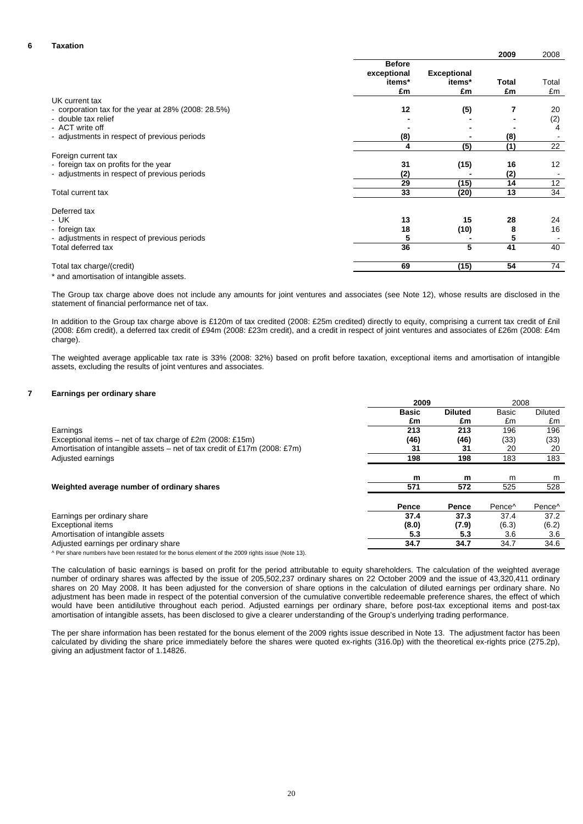## **6 Taxation**

|                                                        |               |                    | 2009         | 2008  |
|--------------------------------------------------------|---------------|--------------------|--------------|-------|
|                                                        | <b>Before</b> |                    |              |       |
|                                                        | exceptional   | <b>Exceptional</b> |              |       |
|                                                        | items*        | items*             | <b>Total</b> | Total |
|                                                        | £m            | £m                 | £m           | £m    |
| UK current tax                                         |               |                    |              |       |
| - corporation tax for the year at $28\%$ (2008: 28.5%) | 12            | (5)                | 7            | 20    |
| - double tax relief                                    |               |                    |              | (2)   |
| - ACT write off                                        |               |                    |              | 4     |
| - adjustments in respect of previous periods           | (8)           |                    | (8)          |       |
|                                                        | 4             | (5)                | (1)          | 22    |
| Foreign current tax                                    |               |                    |              |       |
| - foreign tax on profits for the year                  | 31            | (15)               | 16           | 12    |
| - adjustments in respect of previous periods           | (2)           |                    | (2)          |       |
|                                                        | 29            | (15)               | 14           | 12    |
| Total current tax                                      | 33            | (20)               | 13           | 34    |
| Deferred tax                                           |               |                    |              |       |
| - UK                                                   | 13            | 15                 | 28           | 24    |
| - foreign tax                                          | 18            | (10)               | 8            | 16    |
| - adjustments in respect of previous periods           | 5             |                    | 5            |       |
| Total deferred tax                                     | 36            | 5                  | 41           | 40    |
| Total tax charge/(credit)                              | 69            | (15)               | 54           | 74    |

\* and amortisation of intangible assets.

The Group tax charge above does not include any amounts for joint ventures and associates (see Note 12), whose results are disclosed in the statement of financial performance net of tax.

In addition to the Group tax charge above is £120m of tax credited (2008: £25m credited) directly to equity, comprising a current tax credit of £nil (2008: £6m credit), a deferred tax credit of £94m (2008: £23m credit), and a credit in respect of joint ventures and associates of £26m (2008: £4m charge).

The weighted average applicable tax rate is 33% (2008: 32%) based on profit before taxation, exceptional items and amortisation of intangible assets, excluding the results of joint ventures and associates.

#### **7 Earnings per ordinary share**

|                                                                                                 | 2009         | 2008           |                    |                    |
|-------------------------------------------------------------------------------------------------|--------------|----------------|--------------------|--------------------|
|                                                                                                 | <b>Basic</b> | <b>Diluted</b> | <b>Basic</b>       | <b>Diluted</b>     |
|                                                                                                 | £m           | £m             | £m                 | £m                 |
| Earnings                                                                                        | 213          | 213            | 196                | 196                |
| Exceptional items – net of tax charge of £2m (2008: £15m)                                       | (46)         | (46)           | (33)               | (33)               |
| Amortisation of intangible assets – net of tax credit of £17m (2008: £7m)                       | 31           | 31             | 20                 | 20                 |
| Adjusted earnings                                                                               | 198          | 198            | 183                | 183                |
|                                                                                                 | m            | m              | m                  | m                  |
| Weighted average number of ordinary shares                                                      | 571          | 572            | 525                | 528                |
|                                                                                                 | Pence        | Pence          | Pence <sup>^</sup> | Pence <sup>^</sup> |
| Earnings per ordinary share                                                                     | 37.4         | 37.3           | 37.4               | 37.2               |
| <b>Exceptional items</b>                                                                        | (8.0)        | (7.9)          | (6.3)              | (6.2)              |
| Amortisation of intangible assets                                                               | 5.3          | 5.3            | 3.6                | 3.6                |
| Adjusted earnings per ordinary share                                                            | 34.7         | 34.7           | 34.7               | 34.6               |
| A Desakase attakese kata kaan seetatad festka kanta alamant af tka 9000 siskte jaarra (Nata 49) |              |                |                    |                    |

^ Per share numbers have been restated for the bonus element of the 2009 rights issue (Note 13).

The calculation of basic earnings is based on profit for the period attributable to equity shareholders. The calculation of the weighted average number of ordinary shares was affected by the issue of 205,502,237 ordinary shares on 22 October 2009 and the issue of 43,320,411 ordinary shares on 20 May 2008. It has been adjusted for the conversion of share options in the calculation of diluted earnings per ordinary share. No adjustment has been made in respect of the potential conversion of the cumulative convertible redeemable preference shares, the effect of which would have been antidilutive throughout each period. Adjusted earnings per ordinary share, before post-tax exceptional items and post-tax amortisation of intangible assets, has been disclosed to give a clearer understanding of the Group's underlying trading performance.

The per share information has been restated for the bonus element of the 2009 rights issue described in Note 13. The adjustment factor has been calculated by dividing the share price immediately before the shares were quoted ex-rights (316.0p) with the theoretical ex-rights price (275.2p), giving an adjustment factor of 1.14826.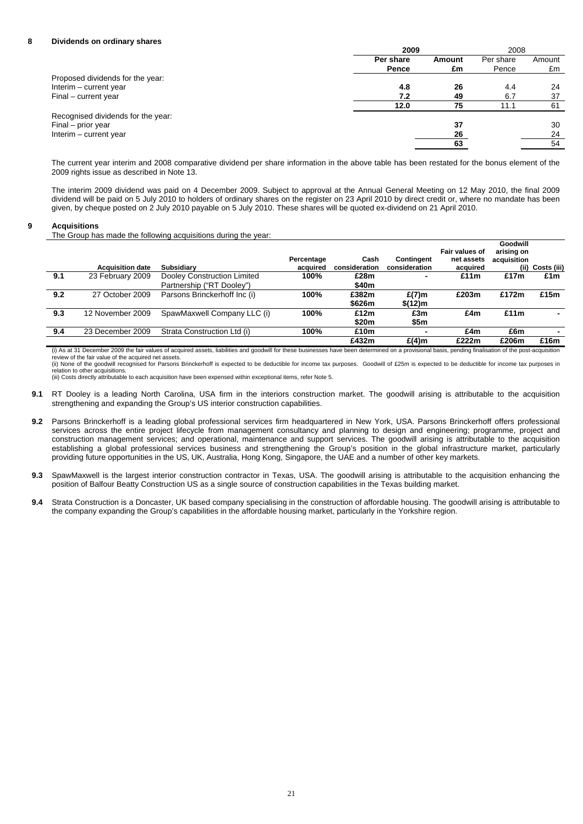## **8 Dividends on ordinary shares**

| 2009                                | 2008      |        |
|-------------------------------------|-----------|--------|
| Per share<br>Amount                 | Per share | Amount |
| Pence<br>£m                         | Pence     | £m     |
| Proposed dividends for the year:    |           |        |
| Interim - current year<br>4.8<br>26 | 4.4       | 24     |
| Final – current year<br>7.2<br>49   | 6.7       | 37     |
| 75<br>12.0                          | 11.1      | 61     |
| Recognised dividends for the year:  |           |        |
| Final – prior year<br>37            |           | 30     |
| Interim - current year<br>26        |           | 24     |
| 63                                  |           | 54     |

The current year interim and 2008 comparative dividend per share information in the above table has been restated for the bonus element of the 2009 rights issue as described in Note 13.

The interim 2009 dividend was paid on 4 December 2009. Subject to approval at the Annual General Meeting on 12 May 2010, the final 2009 dividend will be paid on 5 July 2010 to holders of ordinary shares on the register on 23 April 2010 by direct credit or, where no mandate has been given, by cheque posted on 2 July 2010 payable on 5 July 2010. These shares will be quoted ex-dividend on 21 April 2010.

#### **9 Acquisitions**

The Group has made the following acquisitions during the year:

|     | <b>Acquisition date</b> | <b>Subsidiary</b>            | Percentage<br>acquired | Cash<br>consideration | Contingent<br>consideration | Fair values of<br>net assets<br>acquired | Goodwill<br>arising on<br>acquisition | (ii) Costs (iii) |
|-----|-------------------------|------------------------------|------------------------|-----------------------|-----------------------------|------------------------------------------|---------------------------------------|------------------|
| 9.1 | 23 February 2009        | Dooley Construction Limited  | 100%                   | £28m                  |                             | £11 $m$                                  | £17m                                  | £1m              |
|     |                         | Partnership ("RT Dooley")    |                        | \$40m                 |                             |                                          |                                       |                  |
| 9.2 | 27 October 2009         | Parsons Brinckerhoff Inc (i) | 100%                   | £382m                 | $E(7)$ m                    | £203m                                    | £172m                                 | £15m             |
|     |                         |                              |                        | \$626m                | \$(12) m                    |                                          |                                       |                  |
| 9.3 | 12 November 2009        | SpawMaxwell Company LLC (i)  | 100%                   | £12m                  | £3m                         | £4m                                      | £11m                                  |                  |
|     |                         |                              |                        | \$20m                 | \$5m                        |                                          |                                       |                  |
| 9.4 | 23 December 2009        | Strata Construction Ltd (i)  | 100%                   | £10m                  |                             | £4m                                      | £6m                                   |                  |
|     |                         |                              |                        | £432m                 | £(4)m                       | £222m                                    | £206m                                 | £16m             |

(i) As at 31 December 2009 the fair values of acquired assets, liabilities and goodwill for these businesses have been determined on a provisional basis, pending finalisation of the post-acquisition review of the fair value of the acquired net assets.

(ii) None of the goodwill recognised for Parsons Brinckerhoff is expected to be deductible for income tax purposes. Goodwill of £25m is expected to be deductible for income tax purposes in relation to other acquisitions. (iii) Costs directly attributable to each acquisition have been expensed within exceptional items, refer Note 5.

- **9.1** RT Dooley is a leading North Carolina, USA firm in the interiors construction market. The goodwill arising is attributable to the acquisition strengthening and expanding the Group's US interior construction capabilities.
- **9.2** Parsons Brinckerhoff is a leading global professional services firm headquartered in New York, USA. Parsons Brinckerhoff offers professional services across the entire project lifecycle from management consultancy and planning to design and engineering; programme, project and construction management services; and operational, maintenance and support services. The goodwill arising is attributable to the acquisition establishing a global professional services business and strengthening the Group's position in the global infrastructure market, particularly providing future opportunities in the US, UK, Australia, Hong Kong, Singapore, the UAE and a number of other key markets.
- **9.3** SpawMaxwell is the largest interior construction contractor in Texas, USA. The goodwill arising is attributable to the acquisition enhancing the position of Balfour Beatty Construction US as a single source of construction capabilities in the Texas building market.
- **9.4** Strata Construction is a Doncaster, UK based company specialising in the construction of affordable housing. The goodwill arising is attributable to the company expanding the Group's capabilities in the affordable housing market, particularly in the Yorkshire region.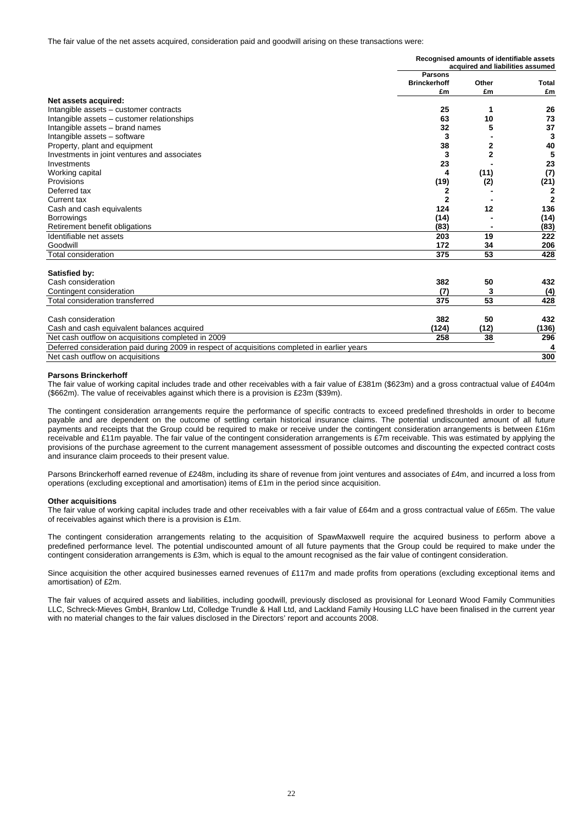The fair value of the net assets acquired, consideration paid and goodwill arising on these transactions were:

|                                              | Recognised amounts of identifiable assets<br>acquired and liabilities assumed |       |       |  |  |
|----------------------------------------------|-------------------------------------------------------------------------------|-------|-------|--|--|
|                                              | <b>Parsons</b><br><b>Brinckerhoff</b>                                         | Other | Total |  |  |
|                                              | £m                                                                            | £m    | £m    |  |  |
| Net assets acquired:                         |                                                                               |       |       |  |  |
| Intangible assets - customer contracts       | 25                                                                            |       | 26    |  |  |
| Intangible assets – customer relationships   | 63                                                                            | 10    | 73    |  |  |
| Intangible assets – brand names              | 32                                                                            |       | 37    |  |  |
| Intangible assets - software                 | 3                                                                             |       | 3     |  |  |
| Property, plant and equipment                | 38                                                                            |       | 40    |  |  |
| Investments in joint ventures and associates | 3                                                                             |       | 5     |  |  |
| Investments                                  | 23                                                                            |       | 23    |  |  |
| Working capital                              | 4                                                                             | (11)  | (7)   |  |  |
| Provisions                                   | (19)                                                                          | (2)   | (21)  |  |  |
| Deferred tax                                 |                                                                               |       |       |  |  |
| Current tax                                  |                                                                               |       |       |  |  |
| Cash and cash equivalents                    | 124                                                                           | 12    | 136   |  |  |
| <b>Borrowings</b>                            | (14)                                                                          |       | (14)  |  |  |
| Retirement benefit obligations               | (83)                                                                          |       | (83)  |  |  |
| Identifiable net assets                      | 203                                                                           | 19    | 222   |  |  |
| Goodwill                                     | 172                                                                           | 34    | 206   |  |  |
| Total consideration                          | 375                                                                           | 53    | 428   |  |  |

| Satisfied by:                                                                                 |       |      |       |
|-----------------------------------------------------------------------------------------------|-------|------|-------|
| Cash consideration                                                                            | 382   | 50   | 432   |
| Contingent consideration                                                                      | (7)   |      | (4)   |
| Total consideration transferred                                                               | 375   | 53   | 428   |
| Cash consideration                                                                            | 382   | 50   | 432   |
| Cash and cash equivalent balances acquired                                                    | (124) | (12) | (136) |
| Net cash outflow on acquisitions completed in 2009                                            | 258   | 38   | 296   |
| Deferred consideration paid during 2009 in respect of acquisitions completed in earlier years |       |      |       |
| Net cash outflow on acquisitions                                                              |       |      | 300   |

#### **Parsons Brinckerhoff**

The fair value of working capital includes trade and other receivables with a fair value of £381m (\$623m) and a gross contractual value of £404m (\$662m). The value of receivables against which there is a provision is £23m (\$39m).

The contingent consideration arrangements require the performance of specific contracts to exceed predefined thresholds in order to become payable and are dependent on the outcome of settling certain historical insurance claims. The potential undiscounted amount of all future payments and receipts that the Group could be required to make or receive under the contingent consideration arrangements is between £16m receivable and £11m payable. The fair value of the contingent consideration arrangements is £7m receivable. This was estimated by applying the provisions of the purchase agreement to the current management assessment of possible outcomes and discounting the expected contract costs and insurance claim proceeds to their present value.

Parsons Brinckerhoff earned revenue of £248m, including its share of revenue from joint ventures and associates of £4m, and incurred a loss from operations (excluding exceptional and amortisation) items of £1m in the period since acquisition.

#### **Other acquisitions**

The fair value of working capital includes trade and other receivables with a fair value of £64m and a gross contractual value of £65m. The value of receivables against which there is a provision is £1m.

The contingent consideration arrangements relating to the acquisition of SpawMaxwell require the acquired business to perform above a predefined performance level. The potential undiscounted amount of all future payments that the Group could be required to make under the contingent consideration arrangements is £3m, which is equal to the amount recognised as the fair value of contingent consideration.

Since acquisition the other acquired businesses earned revenues of £117m and made profits from operations (excluding exceptional items and amortisation) of £2m.

The fair values of acquired assets and liabilities, including goodwill, previously disclosed as provisional for Leonard Wood Family Communities LLC, Schreck-Mieves GmbH, Branlow Ltd, Colledge Trundle & Hall Ltd, and Lackland Family Housing LLC have been finalised in the current year with no material changes to the fair values disclosed in the Directors' report and accounts 2008.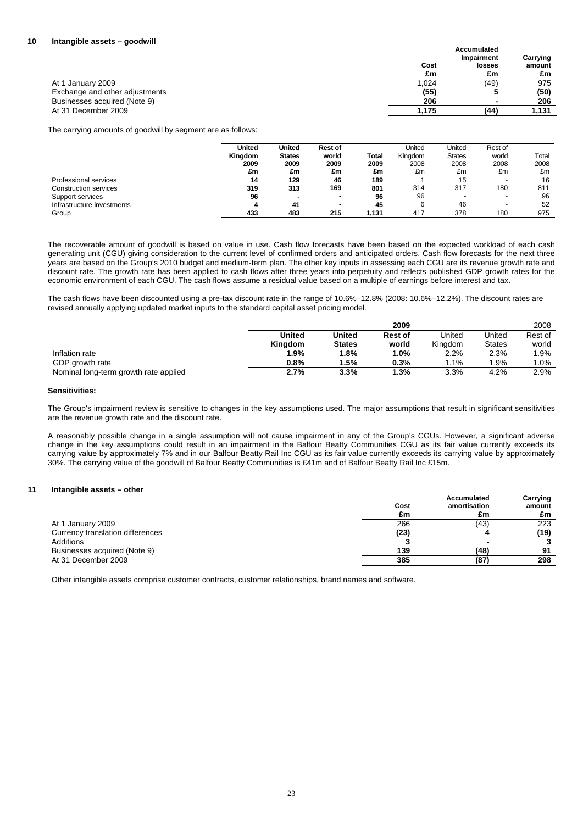|                                |       | <b>Accumulated</b><br>Impairment | Carrying |
|--------------------------------|-------|----------------------------------|----------|
|                                | Cost  | losses                           | amount   |
|                                | £m    | £m                               | £m       |
| At 1 January 2009              | 1,024 | (49)                             | 975      |
| Exchange and other adjustments | (55)  |                                  | (50)     |
| Businesses acquired (Note 9)   | 206   | -                                | 206      |
| At 31 December 2009            | 1.175 | (44)                             | 1.131    |

The carrying amounts of goodwill by segment are as follows:

|                            | <b>United</b><br>Kingdom<br>2009<br>£m | <b>United</b><br><b>States</b><br>2009<br>£m | <b>Rest of</b><br>world<br>2009<br>£m | Total<br>2009<br>£m | United<br>Kingdom<br>2008<br>£m | United<br><b>States</b><br>2008<br>£m | Rest of<br>world<br>2008<br>£m | Total<br>2008<br>£m |
|----------------------------|----------------------------------------|----------------------------------------------|---------------------------------------|---------------------|---------------------------------|---------------------------------------|--------------------------------|---------------------|
| Professional services      | 14                                     | 129                                          | 46                                    | 189                 |                                 | 15                                    | $\overline{\phantom{a}}$       | 16                  |
| Construction services      | 319                                    | 313                                          | 169                                   | 801                 | 314                             | 317                                   | 180                            | 811                 |
| Support services           | 96                                     | ٠                                            | -                                     | 96                  | 96                              |                                       | $\overline{\phantom{a}}$       | 96                  |
| Infrastructure investments | 4                                      | 41                                           |                                       | 45                  | 6                               | 46                                    | $\overline{\phantom{a}}$       | 52                  |
| Group                      | 433                                    | 483                                          | 215                                   | 1.131               | 417                             | 378                                   | 180                            | 975                 |

The recoverable amount of goodwill is based on value in use. Cash flow forecasts have been based on the expected workload of each cash generating unit (CGU) giving consideration to the current level of confirmed orders and anticipated orders. Cash flow forecasts for the next three years are based on the Group's 2010 budget and medium-term plan. The other key inputs in assessing each CGU are its revenue growth rate and discount rate. The growth rate has been applied to cash flows after three years into perpetuity and reflects published GDP growth rates for the economic environment of each CGU. The cash flows assume a residual value based on a multiple of earnings before interest and tax.

The cash flows have been discounted using a pre-tax discount rate in the range of 10.6%–12.8% (2008: 10.6%–12.2%). The discount rates are revised annually applying updated market inputs to the standard capital asset pricing model.

|                                       |         |               | 2009    |         |               | 2008    |
|---------------------------------------|---------|---------------|---------|---------|---------------|---------|
|                                       | United  | <b>United</b> | Rest of | United  | Jnited        | Rest of |
|                                       | Kinadom | <b>States</b> | world   | Kinadom | <b>States</b> | world   |
| Inflation rate                        | $1.9\%$ | 1.8%          | $1.0\%$ | 2.2%    | 2.3%          | $.9\%$  |
| GDP growth rate                       | 0.8%    | 5%            | $0.3\%$ | $.1\%$  | $.9\%$        | $.0\%$  |
| Nominal long-term growth rate applied | 2.7%    | 3.3%          | $.3\%$  | 3.3%    | 4.2%          | 2.9%    |

## **Sensitivities:**

The Group's impairment review is sensitive to changes in the key assumptions used. The major assumptions that result in significant sensitivities are the revenue growth rate and the discount rate.

A reasonably possible change in a single assumption will not cause impairment in any of the Group's CGUs. However, a significant adverse change in the key assumptions could result in an impairment in the Balfour Beatty Communities CGU as its fair value currently exceeds its carrying value by approximately 7% and in our Balfour Beatty Rail Inc CGU as its fair value currently exceeds its carrying value by approximately 30%. The carrying value of the goodwill of Balfour Beatty Communities is £41m and of Balfour Beatty Rail Inc £15m.

## **11 Intangible assets – other**

|                                  | Cost<br>£m | Accumulated<br>amortisation<br>£m | Carrying<br>amount<br>£m |
|----------------------------------|------------|-----------------------------------|--------------------------|
| At 1 January 2009                | 266        | (43)                              | 223                      |
| Currency translation differences | (23)       |                                   | (19)                     |
| Additions                        |            |                                   |                          |
| Businesses acquired (Note 9)     | 139        | (48)                              | 91                       |
| At 31 December 2009              | 385        | (87)                              | 298                      |

Other intangible assets comprise customer contracts, customer relationships, brand names and software.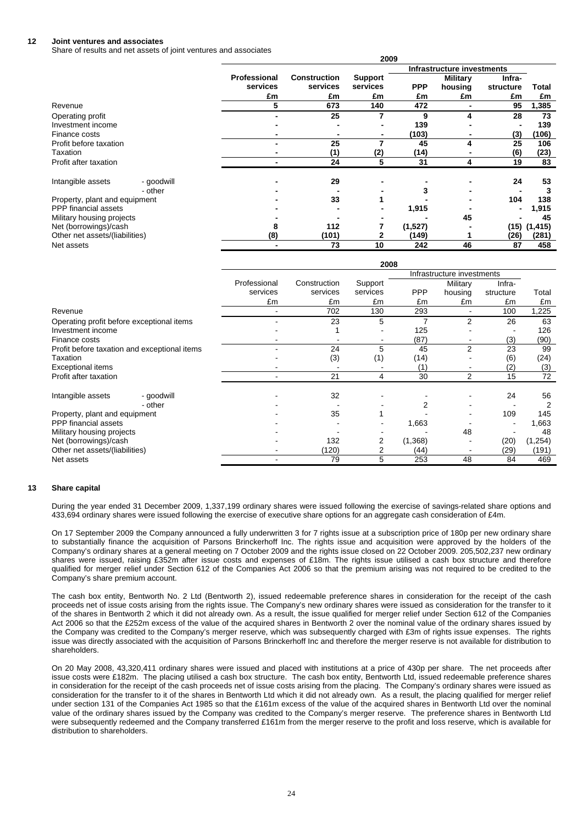#### **12 Joint ventures and associates**

Share of results and net assets of joint ventures and associates

|                                |            |              |                            | 2009           |            |                 |           |          |  |  |
|--------------------------------|------------|--------------|----------------------------|----------------|------------|-----------------|-----------|----------|--|--|
|                                |            |              | Infrastructure investments |                |            |                 |           |          |  |  |
|                                |            | Professional | <b>Construction</b>        | <b>Support</b> |            | <b>Military</b> | Infra-    |          |  |  |
|                                |            | services     | services                   | services       | <b>PPP</b> | housing         | structure | Total    |  |  |
|                                |            | £m           | £m                         | £m             | £m         | £m              | £m        | £m       |  |  |
| Revenue                        |            | 5            | 673                        | 140            | 472        |                 | 95        | 1,385    |  |  |
| Operating profit               |            |              | 25                         |                | 9          | 4               | 28        | 73       |  |  |
| Investment income              |            |              |                            |                | 139        |                 |           | 139      |  |  |
| Finance costs                  |            |              |                            |                | (103)      |                 | (3)       | (106)    |  |  |
| Profit before taxation         |            | -            | 25                         |                | 45         | 4               | 25        | 106      |  |  |
| Taxation                       |            |              | (1)                        | (2)            | (14)       |                 | (6)       | (23)     |  |  |
| Profit after taxation          |            |              | 24                         | 5              | 31         | 4               | 19        | 83       |  |  |
| Intangible assets              | - goodwill |              | 29                         |                |            |                 | 24        | 53       |  |  |
|                                | - other    |              |                            |                |            |                 |           |          |  |  |
| Property, plant and equipment  |            |              | 33                         |                |            |                 | 104       | 138      |  |  |
| PPP financial assets           |            |              |                            |                | 1,915      |                 |           | 1,915    |  |  |
| Military housing projects      |            |              |                            |                |            | 45              |           | 45       |  |  |
| Net (borrowings)/cash          |            |              | 112                        |                | (1,527)    |                 | (15)      | (1, 415) |  |  |
| Other net assets/(liabilities) |            | (8)          | (101)                      |                | (149)      |                 | (26)      | (281)    |  |  |
| Net assets                     |            |              | 73                         | 10             | 242        | 46              | 87        | 458      |  |  |

|                                              |              |              | 2008     |            |                            |           |          |
|----------------------------------------------|--------------|--------------|----------|------------|----------------------------|-----------|----------|
|                                              |              |              |          |            | Infrastructure investments |           |          |
|                                              | Professional | Construction | Support  |            | Military                   | Infra-    |          |
|                                              | services     | services     | services | <b>PPP</b> | housing                    | structure | Total    |
|                                              | £m           | £m           | £m       | £m         | £m                         | £m        | £m       |
| Revenue                                      |              | 702          | 130      | 293        |                            | 100       | 1,225    |
| Operating profit before exceptional items    |              | 23           | 5        |            | 2                          | 26        | 63       |
| Investment income                            |              |              |          | 125        |                            |           | 126      |
| Finance costs                                |              |              |          | (87)       |                            | (3)       | (90)     |
| Profit before taxation and exceptional items |              | 24           | 5        | 45         | 2                          | 23        | 99       |
| Taxation                                     |              | (3)          | (1)      | (14)       |                            | (6)       | (24)     |
| <b>Exceptional items</b>                     |              |              |          | (1)        |                            | (2)       | (3)      |
| Profit after taxation                        |              | 21           | 4        | 30         | 2                          | 15        | 72       |
| Intangible assets<br>- goodwill              |              | 32           |          |            |                            | 24        | 56       |
| - other                                      |              |              |          |            |                            |           | 2        |
| Property, plant and equipment                |              | 35           |          |            |                            | 109       | 145      |
| PPP financial assets                         |              |              |          | 1,663      |                            |           | 1,663    |
| Military housing projects                    |              |              |          |            | 48                         |           | 48       |
| Net (borrowings)/cash                        |              | 132          |          | (1,368)    |                            | (20)      | (1, 254) |
| Other net assets/(liabilities)               |              | (120)        |          | (44)       |                            | (29)      | (191)    |
| Net assets                                   |              | 79           | 5        | 253        | 48                         | 84        | 469      |

#### **13 Share capital**

During the year ended 31 December 2009, 1,337,199 ordinary shares were issued following the exercise of savings-related share options and 433,694 ordinary shares were issued following the exercise of executive share options for an aggregate cash consideration of £4m.

On 17 September 2009 the Company announced a fully underwritten 3 for 7 rights issue at a subscription price of 180p per new ordinary share to substantially finance the acquisition of Parsons Brinckerhoff Inc. The rights issue and acquisition were approved by the holders of the Company's ordinary shares at a general meeting on 7 October 2009 and the rights issue closed on 22 October 2009. 205,502,237 new ordinary shares were issued, raising £352m after issue costs and expenses of £18m. The rights issue utilised a cash box structure and therefore qualified for merger relief under Section 612 of the Companies Act 2006 so that the premium arising was not required to be credited to the Company's share premium account.

The cash box entity, Bentworth No. 2 Ltd (Bentworth 2), issued redeemable preference shares in consideration for the receipt of the cash proceeds net of issue costs arising from the rights issue. The Company's new ordinary shares were issued as consideration for the transfer to it of the shares in Bentworth 2 which it did not already own. As a result, the issue qualified for merger relief under Section 612 of the Companies Act 2006 so that the £252m excess of the value of the acquired shares in Bentworth 2 over the nominal value of the ordinary shares issued by the Company was credited to the Company's merger reserve, which was subsequently charged with £3m of rights issue expenses. The rights issue was directly associated with the acquisition of Parsons Brinckerhoff Inc and therefore the merger reserve is not available for distribution to shareholders.

On 20 May 2008, 43,320,411 ordinary shares were issued and placed with institutions at a price of 430p per share. The net proceeds after issue costs were £182m. The placing utilised a cash box structure. The cash box entity, Bentworth Ltd, issued redeemable preference shares in consideration for the receipt of the cash proceeds net of issue costs arising from the placing. The Company's ordinary shares were issued as consideration for the transfer to it of the shares in Bentworth Ltd which it did not already own. As a result, the placing qualified for merger relief under section 131 of the Companies Act 1985 so that the £161m excess of the value of the acquired shares in Bentworth Ltd over the nominal value of the ordinary shares issued by the Company was credited to the Company's merger reserve. The preference shares in Bentworth Ltd were subsequently redeemed and the Company transferred £161m from the merger reserve to the profit and loss reserve, which is available for distribution to shareholders.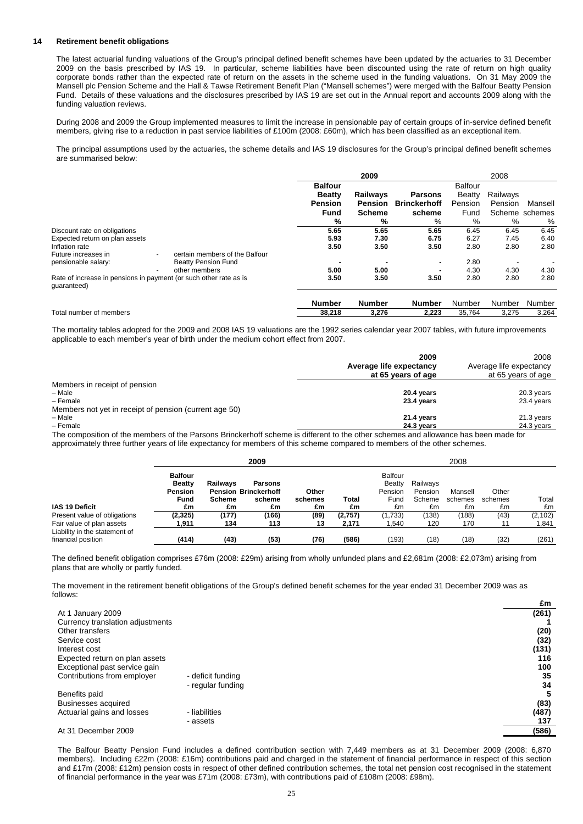## **14 Retirement benefit obligations**

The latest actuarial funding valuations of the Group's principal defined benefit schemes have been updated by the actuaries to 31 December 2009 on the basis prescribed by IAS 19. In particular, scheme liabilities have been discounted using the rate of return on high quality corporate bonds rather than the expected rate of return on the assets in the scheme used in the funding valuations. On 31 May 2009 the Mansell plc Pension Scheme and the Hall & Tawse Retirement Benefit Plan ("Mansell schemes") were merged with the Balfour Beatty Pension Fund. Details of these valuations and the disclosures prescribed by IAS 19 are set out in the Annual report and accounts 2009 along with the funding valuation reviews.

During 2008 and 2009 the Group implemented measures to limit the increase in pensionable pay of certain groups of in-service defined benefit members, giving rise to a reduction in past service liabilities of £100m (2008: £60m), which has been classified as an exceptional item.

The principal assumptions used by the actuaries, the scheme details and IAS 19 disclosures for the Group's principal defined benefit schemes are summarised below:

|                                                                                  |                                |                | 2009          |                     |                | 2008     |                |
|----------------------------------------------------------------------------------|--------------------------------|----------------|---------------|---------------------|----------------|----------|----------------|
|                                                                                  |                                | <b>Balfour</b> |               |                     | <b>Balfour</b> |          |                |
|                                                                                  |                                | <b>Beatty</b>  | Railways      | <b>Parsons</b>      | Beatty         | Railways |                |
|                                                                                  |                                | Pension        | Pension       | <b>Brinckerhoff</b> | Pension        | Pension  | Mansell        |
|                                                                                  |                                | Fund           | <b>Scheme</b> | scheme              | Fund           |          | Scheme schemes |
|                                                                                  |                                | %              | %             | %                   | %              | %        | %              |
| Discount rate on obligations                                                     |                                | 5.65           | 5.65          | 5.65                | 6.45           | 6.45     | 6.45           |
| Expected return on plan assets                                                   |                                | 5.93           | 7.30          | 6.75                | 6.27           | 7.45     | 6.40           |
| Inflation rate                                                                   |                                | 3.50           | 3.50          | 3.50                | 2.80           | 2.80     | 2.80           |
| Future increases in                                                              | certain members of the Balfour |                |               |                     |                |          |                |
| pensionable salary:                                                              | <b>Beatty Pension Fund</b>     |                |               | $\blacksquare$      | 2.80           |          |                |
|                                                                                  | other members                  | 5.00           | 5.00          |                     | 4.30           | 4.30     | 4.30           |
| Rate of increase in pensions in payment (or such other rate as is<br>quaranteed) |                                | 3.50           | 3.50          | 3.50                | 2.80           | 2.80     | 2.80           |
|                                                                                  |                                | <b>Number</b>  | <b>Number</b> | <b>Number</b>       | Number         | Number   | Number         |
| Total number of members                                                          |                                | 38,218         | 3,276         | 2,223               | 35,764         | 3,275    | 3,264          |

The mortality tables adopted for the 2009 and 2008 IAS 19 valuations are the 1992 series calendar year 2007 tables, with future improvements applicable to each member's year of birth under the medium cohort effect from 2007.

|                                                                      | 2009<br>Average life expectancy<br>at 65 years of age | 2008<br>Average life expectancy<br>at 65 years of age |
|----------------------------------------------------------------------|-------------------------------------------------------|-------------------------------------------------------|
| Members in receipt of pension                                        |                                                       |                                                       |
| - Male                                                               | 20.4 years                                            | 20.3 years                                            |
| - Female                                                             | 23.4 years                                            | 23.4 years                                            |
| Members not yet in receipt of pension (current age 50)               |                                                       |                                                       |
| - Male                                                               | 21.4 years                                            | 21.3 years                                            |
| - Female                                                             | 24.3 years                                            | 24.3 years                                            |
| - -<br>$\cdot$<br>$\cdots$<br>$\sim$ $\sim$<br>$\sim$ $\sim$<br>$-1$ | <br>.                                                 |                                                       |

The composition of the members of the Parsons Brinckerhoff scheme is different to the other schemes and allowance has been made for approximately three further years of life expectancy for members of this scheme compared to members of the other schemes.

|                                                           | 2009                                                                   |                                        |                                                               |                        |                  | 2008                                              |                                     |                          |                        |                   |
|-----------------------------------------------------------|------------------------------------------------------------------------|----------------------------------------|---------------------------------------------------------------|------------------------|------------------|---------------------------------------------------|-------------------------------------|--------------------------|------------------------|-------------------|
| <b>IAS 19 Deficit</b>                                     | <b>Balfour</b><br><b>Beatty</b><br><b>Pension</b><br><b>Fund</b><br>£m | <b>Railwavs</b><br><b>Scheme</b><br>£m | <b>Parsons</b><br><b>Pension Brinckerhoff</b><br>scheme<br>£m | Other<br>schemes<br>£m | Total<br>£m      | <b>Balfour</b><br>Beatty<br>Pension<br>Fund<br>£m | Railwavs<br>Pension<br>Scheme<br>£m | Mansell<br>schemes<br>£m | Other<br>schemes<br>£m | Total<br>£m       |
| Present value of obligations<br>Fair value of plan assets | (2, 325)<br>1.911                                                      | (177)<br>134                           | (166)<br>113                                                  | (89)<br>13             | (2,757)<br>2,171 | (1,733)<br>1.540                                  | (138)<br>120                        | (188)<br>170             | (43)<br>11             | (2, 102)<br>1,841 |
| Liability in the statement of<br>financial position       | (414)                                                                  | (43)                                   | (53)                                                          | (76)                   | (586)            | (193)                                             | (18)                                | (18)                     | (32)                   | (261)             |

The defined benefit obligation comprises £76m (2008: £29m) arising from wholly unfunded plans and £2,681m (2008: £2,073m) arising from plans that are wholly or partly funded.

The movement in the retirement benefit obligations of the Group's defined benefit schemes for the year ended 31 December 2009 was as follows:

|                                  |                   | £m    |
|----------------------------------|-------------------|-------|
| At 1 January 2009                |                   | (261) |
| Currency translation adjustments |                   |       |
| Other transfers                  |                   | (20)  |
| Service cost                     |                   | (32)  |
| Interest cost                    |                   | (131) |
| Expected return on plan assets   |                   | 116   |
| Exceptional past service gain    |                   | 100   |
| Contributions from employer      | - deficit funding | 35    |
|                                  | - regular funding | 34    |
| Benefits paid                    |                   |       |
| Businesses acquired              |                   | (83)  |
| Actuarial gains and losses       | - liabilities     | (487) |
|                                  | - assets          | 137   |
| At 31 December 2009              |                   | (586) |

The Balfour Beatty Pension Fund includes a defined contribution section with 7,449 members as at 31 December 2009 (2008: 6,870 members). Including £22m (2008: £16m) contributions paid and charged in the statement of financial performance in respect of this section and £17m (2008: £12m) pension costs in respect of other defined contribution schemes, the total net pension cost recognised in the statement of financial performance in the year was £71m (2008: £73m), with contributions paid of £108m (2008: £98m).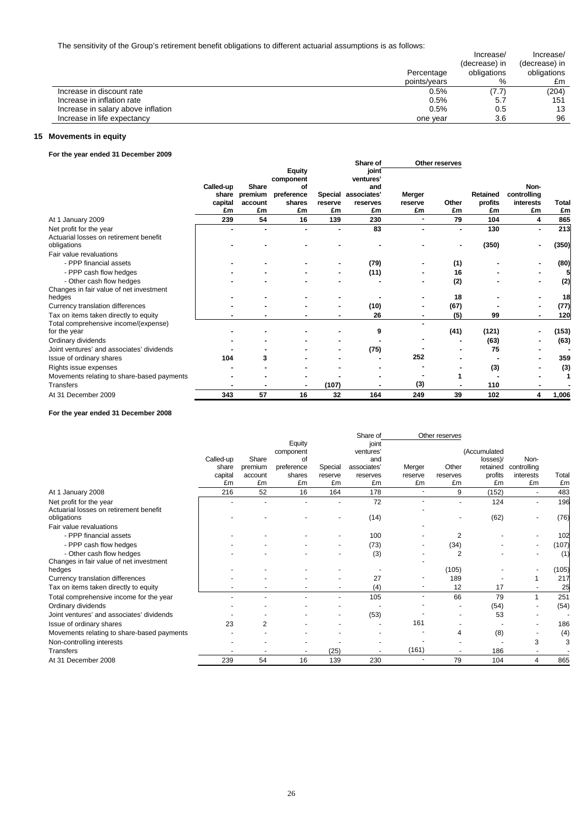| . .                                |              | Increase/<br>(decrease) in | Increase/<br>(decrease) in |
|------------------------------------|--------------|----------------------------|----------------------------|
|                                    | Percentage   | obligations                | obligations                |
|                                    | points/vears | %                          | £m                         |
| Increase in discount rate          | 0.5%         | (7.7)                      | (204)                      |
| Increase in inflation rate         | 0.5%         | 5.7                        | 151                        |
| Increase in salary above inflation | 0.5%         | 0.5                        | 13                         |
| Increase in life expectancy        | one vear     | 3.6                        | 96                         |

## **15 Movements in equity**

## **For the year ended 31 December 2009**

|                                            |           |         | <b>Equity</b><br>component |         | Share of<br>joint<br>ventures' |         | Other reserves |          |             |       |
|--------------------------------------------|-----------|---------|----------------------------|---------|--------------------------------|---------|----------------|----------|-------------|-------|
|                                            | Called-up | Share   | οf                         |         | and                            |         |                |          | Non-        |       |
|                                            | share     | premium | preference                 |         | Special associates'            | Merger  |                | Retained | controlling |       |
|                                            | capital   | account | shares                     | reserve | reserves                       | reserve | Other          | profits  | interests   | Total |
|                                            | £m        | £m      | £m                         | £m      | £m                             | £m      | £m             | £m       | £m          | £m    |
| At 1 January 2009                          | 239       | 54      | 16                         | 139     | 230                            |         | 79             | 104      | 4           | 865   |
| Net profit for the year                    |           |         |                            |         | 83                             |         |                | 130      | ۰           | 213   |
| Actuarial losses on retirement benefit     |           |         |                            |         |                                |         |                |          |             |       |
| obligations                                |           |         |                            |         |                                |         |                | (350)    |             | (350) |
| Fair value revaluations                    |           |         |                            |         |                                |         |                |          |             |       |
| - PPP financial assets                     |           |         |                            |         | (79)                           |         | (1)            |          |             | (80)  |
| - PPP cash flow hedges                     |           |         |                            |         | (11)                           |         | 16             |          |             |       |
| - Other cash flow hedges                   |           |         |                            |         |                                |         | (2)            |          |             | (2)   |
| Changes in fair value of net investment    |           |         |                            |         |                                |         |                |          |             |       |
| hedges                                     |           |         |                            |         |                                |         | 18             |          |             | 18    |
| Currency translation differences           |           |         |                            |         | (10)                           |         | (67)           |          |             | (77)  |
| Tax on items taken directly to equity      |           |         |                            |         | 26                             |         | (5)            | 99       |             | 120   |
| Total comprehensive income/(expense)       |           |         |                            |         |                                |         |                |          |             |       |
| for the year                               |           |         |                            |         | 9                              |         | (41)           | (121)    |             | (153) |
| Ordinary dividends                         |           |         |                            |         |                                |         |                | (63)     |             | (63)  |
| Joint ventures' and associates' dividends  |           |         |                            |         | (75)                           |         |                | 75       |             |       |
| Issue of ordinary shares                   | 104       | 3       |                            |         |                                | 252     |                |          |             | 359   |
| Rights issue expenses                      |           |         |                            |         |                                |         |                | (3)      |             | (3)   |
| Movements relating to share-based payments |           |         |                            |         |                                |         |                |          |             |       |
| <b>Transfers</b>                           |           |         |                            | (107)   |                                | (3)     |                | 110      |             |       |
| At 31 December 2009                        | 343       | 57      | 16                         | 32      | 164                            | 249     | 39             | 102      | 4           | 1,006 |

**For the year ended 31 December 2008**

|                                            |           |         |            |         | Share of    |         | Other reserves |              |             |       |
|--------------------------------------------|-----------|---------|------------|---------|-------------|---------|----------------|--------------|-------------|-------|
|                                            |           |         | Equity     |         | joint       |         |                |              |             |       |
|                                            |           |         | component  |         | ventures'   |         |                | (Accumulated |             |       |
|                                            | Called-up | Share   | of         |         | and         |         |                | losses)/     | Non-        |       |
|                                            | share     | premium | preference | Special | associates' | Merger  | Other          | retained     | controlling |       |
|                                            | capital   | account | shares     | reserve | reserves    | reserve | reserves       | profits      | interests   | Total |
|                                            | £m        | £m      | £m         | £m      | £m          | £m      | £m             | £m           | £m          | £m    |
| At 1 January 2008                          | 216       | 52      | 16         | 164     | 178         |         | 9              | (152)        |             | 483   |
| Net profit for the year                    |           |         |            |         | 72          |         |                | 124          |             | 196   |
| Actuarial losses on retirement benefit     |           |         |            |         |             |         |                |              |             |       |
| obligations                                |           |         |            |         | (14)        |         |                | (62)         |             | (76)  |
| Fair value revaluations                    |           |         |            |         |             |         |                |              |             |       |
| - PPP financial assets                     |           |         |            |         | 100         |         | 2              |              |             | 102   |
| - PPP cash flow hedges                     |           |         |            |         | (73)        |         | (34)           |              |             | (107) |
| - Other cash flow hedges                   |           |         |            |         | (3)         |         | 2              |              |             | (1)   |
| Changes in fair value of net investment    |           |         |            |         |             |         |                |              |             |       |
| hedges                                     |           |         |            |         |             |         | (105)          |              |             | (105) |
| Currency translation differences           |           |         |            |         | 27          |         | 189            |              |             | 217   |
| Tax on items taken directly to equity      |           |         |            |         | (4)         |         | 12             | 17           |             | 25    |
| Total comprehensive income for the year    |           |         |            |         | 105         |         | 66             | 79           | 1           | 251   |
| Ordinary dividends                         |           |         |            |         |             |         |                | (54)         |             | (54)  |
| Joint ventures' and associates' dividends  |           |         |            |         | (53)        |         |                | 53           |             |       |
| Issue of ordinary shares                   | 23        | 2       |            |         |             | 161     |                |              |             | 186   |
| Movements relating to share-based payments |           |         |            |         |             |         | 4              | (8)          |             | (4)   |
| Non-controlling interests                  |           |         |            |         |             |         |                |              | 3           | 3     |
| <b>Transfers</b>                           |           |         |            | (25)    |             | (161)   |                | 186          |             |       |
| At 31 December 2008                        | 239       | 54      | 16         | 139     | 230         |         | 79             | 104          | 4           | 865   |
|                                            |           |         |            |         |             |         |                |              |             |       |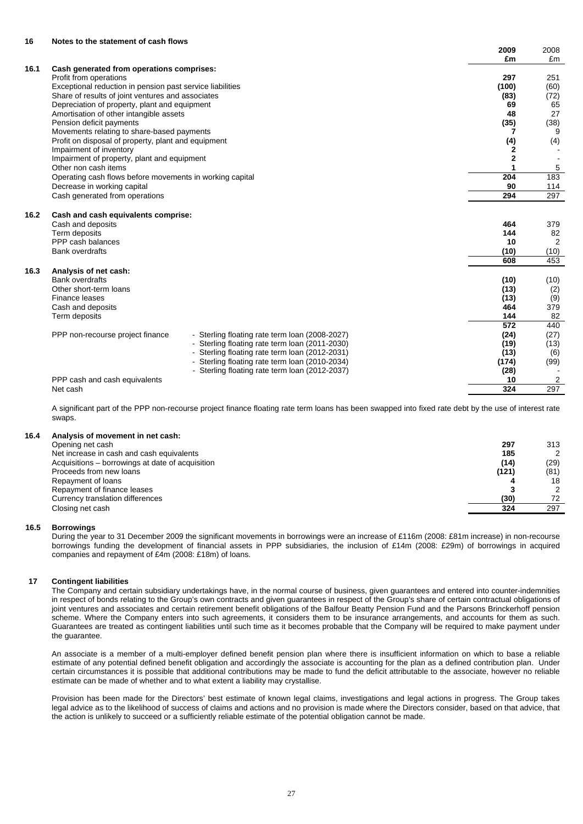## **16 Notes to the statement of cash flows**

|      |                                                           |                                                | 2009             | 2008                    |
|------|-----------------------------------------------------------|------------------------------------------------|------------------|-------------------------|
|      |                                                           |                                                | £m               | £m                      |
| 16.1 | Cash generated from operations comprises:                 |                                                |                  |                         |
|      | Profit from operations                                    |                                                | 297              | 251                     |
|      | Exceptional reduction in pension past service liabilities |                                                | (100)            | (60)                    |
|      | Share of results of joint ventures and associates         |                                                | (83)             | (72)                    |
|      | Depreciation of property, plant and equipment             |                                                | 69               | 65                      |
|      | Amortisation of other intangible assets                   |                                                | 48               | 27                      |
|      | Pension deficit payments                                  |                                                | (35)             | (38)                    |
|      | Movements relating to share-based payments                |                                                |                  | 9<br>7                  |
|      | Profit on disposal of property, plant and equipment       |                                                | (4)              | (4)                     |
|      | Impairment of inventory                                   |                                                |                  | 2                       |
|      | Impairment of property, plant and equipment               |                                                |                  | 2                       |
|      | Other non cash items                                      |                                                |                  | 5                       |
|      | Operating cash flows before movements in working capital  |                                                | 204              | 183                     |
|      | Decrease in working capital                               |                                                | 90               | 114                     |
|      | Cash generated from operations                            |                                                | 294              | 297                     |
| 16.2 | Cash and cash equivalents comprise:                       |                                                |                  |                         |
|      | Cash and deposits                                         |                                                | 464              | 379                     |
|      | Term deposits                                             |                                                | 144              | 82                      |
|      | PPP cash balances                                         |                                                | 10               | $\overline{2}$          |
|      | <b>Bank overdrafts</b>                                    |                                                | (10)             | (10)                    |
|      |                                                           |                                                | 608              | 453                     |
| 16.3 | Analysis of net cash:                                     |                                                |                  |                         |
|      | <b>Bank overdrafts</b>                                    |                                                | (10)             | (10)                    |
|      | Other short-term loans                                    |                                                | (13)             | (2)                     |
|      | Finance leases                                            |                                                | (13)             | (9)                     |
|      | Cash and deposits                                         |                                                | 464              | 379                     |
|      | Term deposits                                             |                                                | 144              | 82                      |
|      |                                                           |                                                | $\overline{572}$ | 440                     |
|      | PPP non-recourse project finance                          | - Sterling floating rate term loan (2008-2027) | (24)             | (27)                    |
|      |                                                           | - Sterling floating rate term loan (2011-2030) | (19)             | (13)                    |
|      |                                                           | - Sterling floating rate term loan (2012-2031) | (13)             | (6)                     |
|      |                                                           | - Sterling floating rate term loan (2010-2034) | (174)            | (99)                    |
|      |                                                           | - Sterling floating rate term loan (2012-2037) | (28)             |                         |
|      | PPP cash and cash equivalents                             |                                                | 10               | $\overline{\mathbf{c}}$ |
|      | Net cash                                                  |                                                | 324              | 297                     |

A significant part of the PPP non-recourse project finance floating rate term loans has been swapped into fixed rate debt by the use of interest rate swaps.

#### **16.4 Analysis of movement in net cash:**

| Opening net cash                                 | 297   | 313  |
|--------------------------------------------------|-------|------|
| Net increase in cash and cash equivalents        | 185   |      |
| Acquisitions – borrowings at date of acquisition | (14)  | (29) |
| Proceeds from new loans                          | (121) | (81) |
| Repayment of loans                               |       | 18   |
| Repayment of finance leases                      |       |      |
| Currency translation differences                 | (30)  | 72   |
| Closing net cash                                 | 324   | 297  |

#### **16.5 Borrowings**

During the year to 31 December 2009 the significant movements in borrowings were an increase of £116m (2008: £81m increase) in non-recourse borrowings funding the development of financial assets in PPP subsidiaries, the inclusion of £14m (2008: £29m) of borrowings in acquired companies and repayment of £4m (2008: £18m) of loans.

#### **17 Contingent liabilities**

The Company and certain subsidiary undertakings have, in the normal course of business, given guarantees and entered into counter-indemnities in respect of bonds relating to the Group's own contracts and given guarantees in respect of the Group's share of certain contractual obligations of joint ventures and associates and certain retirement benefit obligations of the Balfour Beatty Pension Fund and the Parsons Brinckerhoff pension scheme. Where the Company enters into such agreements, it considers them to be insurance arrangements, and accounts for them as such. Guarantees are treated as contingent liabilities until such time as it becomes probable that the Company will be required to make payment under the guarantee.

An associate is a member of a multi-employer defined benefit pension plan where there is insufficient information on which to base a reliable estimate of any potential defined benefit obligation and accordingly the associate is accounting for the plan as a defined contribution plan. Under certain circumstances it is possible that additional contributions may be made to fund the deficit attributable to the associate, however no reliable estimate can be made of whether and to what extent a liability may crystallise.

Provision has been made for the Directors' best estimate of known legal claims, investigations and legal actions in progress. The Group takes legal advice as to the likelihood of success of claims and actions and no provision is made where the Directors consider, based on that advice, that the action is unlikely to succeed or a sufficiently reliable estimate of the potential obligation cannot be made.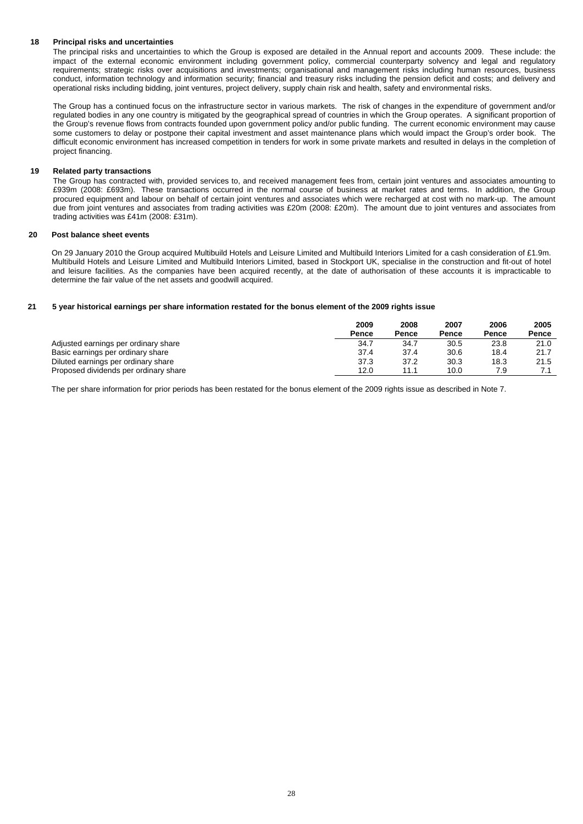## **18 Principal risks and uncertainties**

The principal risks and uncertainties to which the Group is exposed are detailed in the Annual report and accounts 2009. These include: the impact of the external economic environment including government policy, commercial counterparty solvency and legal and regulatory requirements; strategic risks over acquisitions and investments; organisational and management risks including human resources, business conduct, information technology and information security; financial and treasury risks including the pension deficit and costs; and delivery and operational risks including bidding, joint ventures, project delivery, supply chain risk and health, safety and environmental risks.

The Group has a continued focus on the infrastructure sector in various markets. The risk of changes in the expenditure of government and/or regulated bodies in any one country is mitigated by the geographical spread of countries in which the Group operates. A significant proportion of the Group's revenue flows from contracts founded upon government policy and/or public funding. The current economic environment may cause some customers to delay or postpone their capital investment and asset maintenance plans which would impact the Group's order book. The difficult economic environment has increased competition in tenders for work in some private markets and resulted in delays in the completion of project financing.

## **19 Related party transactions**

The Group has contracted with, provided services to, and received management fees from, certain joint ventures and associates amounting to £939m (2008: £693m). These transactions occurred in the normal course of business at market rates and terms. In addition, the Group procured equipment and labour on behalf of certain joint ventures and associates which were recharged at cost with no mark-up. The amount due from joint ventures and associates from trading activities was £20m (2008: £20m). The amount due to joint ventures and associates from trading activities was £41m (2008: £31m).

#### **20 Post balance sheet events**

On 29 January 2010 the Group acquired Multibuild Hotels and Leisure Limited and Multibuild Interiors Limited for a cash consideration of £1.9m. Multibuild Hotels and Leisure Limited and Multibuild Interiors Limited, based in Stockport UK, specialise in the construction and fit-out of hotel and leisure facilities. As the companies have been acquired recently, at the date of authorisation of these accounts it is impracticable to determine the fair value of the net assets and goodwill acquired.

#### **21 5 year historical earnings per share information restated for the bonus element of the 2009 rights issue**

|                                       | 2009  | 2008  | 2007  | 2006  | 2005  |
|---------------------------------------|-------|-------|-------|-------|-------|
|                                       | Pence | Pence | Pence | Pence | Pence |
| Adjusted earnings per ordinary share  | 34.7  | 34.7  | 30.5  | 23.8  | 21.0  |
| Basic earnings per ordinary share     | 37.4  | 37.4  | 30.6  | 18.4  | 21.7  |
| Diluted earnings per ordinary share   | 37.3  | 37.2  | 30.3  | 18.3  | 21.5  |
| Proposed dividends per ordinary share | 12.0  |       | 10.0  | 7.9   |       |

The per share information for prior periods has been restated for the bonus element of the 2009 rights issue as described in Note 7.